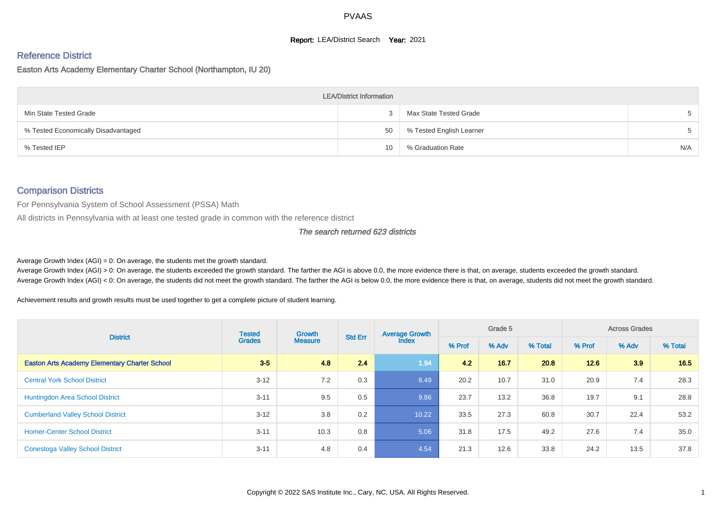#### **Report: LEA/District Search Year: 2021**

# Reference District

Easton Arts Academy Elementary Charter School (Northampton, IU 20)

| <b>LEA/District Information</b>     |    |                          |     |  |  |  |  |  |  |  |
|-------------------------------------|----|--------------------------|-----|--|--|--|--|--|--|--|
| Min State Tested Grade              |    | Max State Tested Grade   |     |  |  |  |  |  |  |  |
| % Tested Economically Disadvantaged | 50 | % Tested English Learner |     |  |  |  |  |  |  |  |
| % Tested IEP                        | 10 | % Graduation Rate        | N/A |  |  |  |  |  |  |  |

# Comparison Districts

For Pennsylvania System of School Assessment (PSSA) Math

All districts in Pennsylvania with at least one tested grade in common with the reference district

#### The search returned 623 districts

Average Growth Index  $(AGI) = 0$ : On average, the students met the growth standard.

Average Growth Index (AGI) > 0: On average, the students exceeded the growth standard. The farther the AGI is above 0.0, the more evidence there is that, on average, students exceeded the growth standard. Average Growth Index (AGI) < 0: On average, the students did not meet the growth standard. The farther the AGI is below 0.0, the more evidence there is that, on average, students did not meet the growth standard.

Achievement results and growth results must be used together to get a complete picture of student learning.

| <b>District</b>                                      | <b>Tested</b> | <b>Growth</b><br><b>Grades</b><br><b>Measure</b> | <b>Std Err</b> | <b>Average Growth</b> |      | Grade 5 |         |        | <b>Across Grades</b> |         |
|------------------------------------------------------|---------------|--------------------------------------------------|----------------|-----------------------|------|---------|---------|--------|----------------------|---------|
|                                                      |               |                                                  |                | <b>Index</b>          |      | % Adv   | % Total | % Prof | % Adv                | % Total |
| <b>Easton Arts Academy Elementary Charter School</b> | $3 - 5$       | 4.8                                              | 2.4            | 1.94                  | 4.2  | 16.7    | 20.8    | 12.6   | 3.9                  | 16.5    |
| <b>Central York School District</b>                  | $3 - 12$      | 7.2                                              | 0.3            | 8.49                  | 20.2 | 10.7    | 31.0    | 20.9   | 7.4                  | 28.3    |
| <b>Huntingdon Area School District</b>               | $3 - 11$      | 9.5                                              | 0.5            | 9.86                  | 23.7 | 13.2    | 36.8    | 19.7   | 9.1                  | 28.8    |
| <b>Cumberland Valley School District</b>             | $3 - 12$      | 3.8                                              | 0.2            | 10.22                 | 33.5 | 27.3    | 60.8    | 30.7   | 22.4                 | 53.2    |
| <b>Homer-Center School District</b>                  | $3 - 11$      | 10.3                                             | 0.8            | 5.06                  | 31.8 | 17.5    | 49.2    | 27.6   | 7.4                  | 35.0    |
| <b>Conestoga Valley School District</b>              | $3 - 11$      | 4.8                                              | 0.4            | 4.54                  | 21.3 | 12.6    | 33.8    | 24.2   | 13.5                 | 37.8    |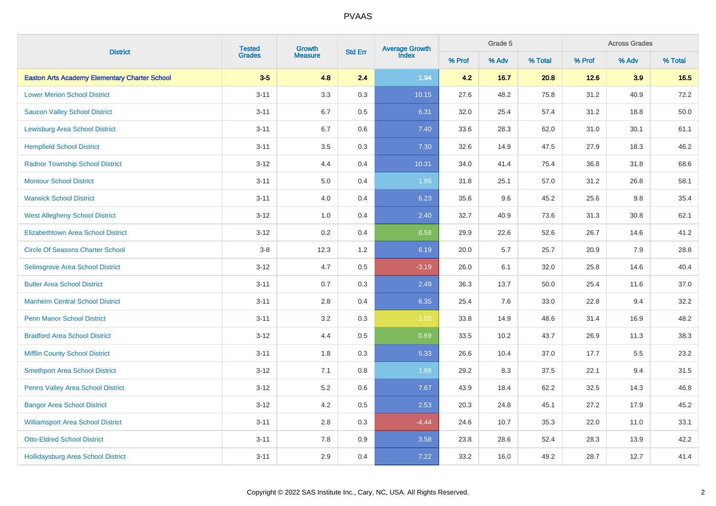|                                                      | <b>Tested</b><br>Growth | Average Growth<br>Index<br><b>Std Err</b> |         | Grade 5 |        |         | <b>Across Grades</b> |        |       |         |
|------------------------------------------------------|-------------------------|-------------------------------------------|---------|---------|--------|---------|----------------------|--------|-------|---------|
| <b>District</b>                                      | <b>Grades</b>           | <b>Measure</b>                            |         |         | % Prof | % Adv   | % Total              | % Prof | % Adv | % Total |
| <b>Easton Arts Academy Elementary Charter School</b> | $3-5$                   | 4.8                                       | 2.4     | 1.94    | 4.2    | 16.7    | 20.8                 | 12.6   | 3.9   | 16.5    |
| <b>Lower Merion School District</b>                  | $3 - 11$                | $3.3\,$                                   | $0.3\,$ | 10.15   | 27.6   | 48.2    | 75.8                 | 31.2   | 40.9  | 72.2    |
| <b>Saucon Valley School District</b>                 | $3 - 11$                | 6.7                                       | 0.5     | 6.31    | 32.0   | 25.4    | 57.4                 | 31.2   | 18.8  | 50.0    |
| <b>Lewisburg Area School District</b>                | $3 - 11$                | 6.7                                       | 0.6     | 7.40    | 33.6   | 28.3    | 62.0                 | 31.0   | 30.1  | 61.1    |
| <b>Hempfield School District</b>                     | $3 - 11$                | 3.5                                       | 0.3     | 7.30    | 32.6   | 14.9    | 47.5                 | 27.9   | 18.3  | 46.2    |
| <b>Radnor Township School District</b>               | $3 - 12$                | 4.4                                       | 0.4     | 10.31   | 34.0   | 41.4    | 75.4                 | 36.8   | 31.8  | 68.6    |
| <b>Montour School District</b>                       | $3 - 11$                | 5.0                                       | 0.4     | 1.85    | 31.8   | 25.1    | 57.0                 | 31.2   | 26.8  | 58.1    |
| <b>Warwick School District</b>                       | $3 - 11$                | 4.0                                       | 0.4     | 6.23    | 35.6   | 9.6     | 45.2                 | 25.6   | 9.8   | 35.4    |
| <b>West Allegheny School District</b>                | $3 - 12$                | 1.0                                       | 0.4     | 2.40    | 32.7   | 40.9    | 73.6                 | 31.3   | 30.8  | 62.1    |
| <b>Elizabethtown Area School District</b>            | $3 - 12$                | 0.2                                       | 0.4     | 0.58    | 29.9   | 22.6    | 52.6                 | 26.7   | 14.6  | 41.2    |
| <b>Circle Of Seasons Charter School</b>              | $3-8$                   | 12.3                                      | $1.2\,$ | 6.19    | 20.0   | $5.7\,$ | 25.7                 | 20.9   | 7.9   | 28.8    |
| <b>Selinsgrove Area School District</b>              | $3 - 12$                | 4.7                                       | 0.5     | $-3.19$ | 26.0   | 6.1     | 32.0                 | 25.8   | 14.6  | 40.4    |
| <b>Butler Area School District</b>                   | $3 - 11$                | 0.7                                       | 0.3     | 2.49    | 36.3   | 13.7    | 50.0                 | 25.4   | 11.6  | 37.0    |
| <b>Manheim Central School District</b>               | $3 - 11$                | 2.8                                       | 0.4     | 6.35    | 25.4   | 7.6     | 33.0                 | 22.8   | 9.4   | 32.2    |
| <b>Penn Manor School District</b>                    | $3 - 11$                | 3.2                                       | 0.3     | $-1.05$ | 33.8   | 14.9    | 48.6                 | 31.4   | 16.9  | 48.2    |
| <b>Bradford Area School District</b>                 | $3 - 12$                | 4.4                                       | 0.5     | 0.69    | 33.5   | 10.2    | 43.7                 | 26.9   | 11.3  | 38.3    |
| <b>Mifflin County School District</b>                | $3 - 11$                | 1.8                                       | 0.3     | 5.33    | 26.6   | 10.4    | 37.0                 | 17.7   | 5.5   | 23.2    |
| <b>Smethport Area School District</b>                | $3 - 12$                | 7.1                                       | 0.8     | 1.88    | 29.2   | 8.3     | 37.5                 | 22.1   | 9.4   | 31.5    |
| Penns Valley Area School District                    | $3 - 12$                | 5.2                                       | $0.6\,$ | 7.67    | 43.9   | 18.4    | 62.2                 | 32.5   | 14.3  | 46.8    |
| <b>Bangor Area School District</b>                   | $3 - 12$                | 4.2                                       | 0.5     | 2.53    | 20.3   | 24.8    | 45.1                 | 27.2   | 17.9  | 45.2    |
| <b>Williamsport Area School District</b>             | $3 - 11$                | 2.8                                       | 0.3     | $-4.44$ | 24.6   | 10.7    | 35.3                 | 22.0   | 11.0  | 33.1    |
| <b>Otto-Eldred School District</b>                   | $3 - 11$                | $7.8\,$                                   | $0.9\,$ | 3.58    | 23.8   | 28.6    | 52.4                 | 28.3   | 13.9  | 42.2    |
| <b>Hollidaysburg Area School District</b>            | $3 - 11$                | 2.9                                       | 0.4     | 7.22    | 33.2   | 16.0    | 49.2                 | 28.7   | 12.7  | 41.4    |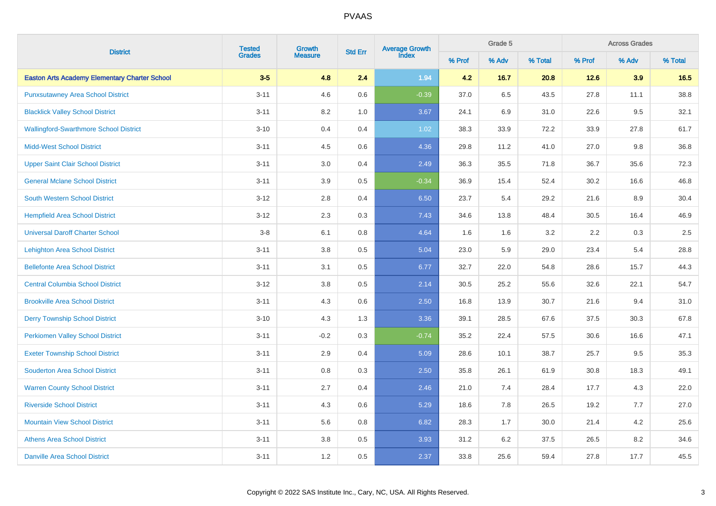|                                                      |               | <b>Tested</b><br>Growth |         | Average Growth<br>Index<br><b>Std Err</b> |        | Grade 5 |         | <b>Across Grades</b> |         |         |  |
|------------------------------------------------------|---------------|-------------------------|---------|-------------------------------------------|--------|---------|---------|----------------------|---------|---------|--|
| <b>District</b>                                      | <b>Grades</b> | <b>Measure</b>          |         |                                           | % Prof | % Adv   | % Total | % Prof               | % Adv   | % Total |  |
| <b>Easton Arts Academy Elementary Charter School</b> | $3-5$         | 4.8                     | 2.4     | 1.94                                      | 4.2    | 16.7    | 20.8    | 12.6                 | 3.9     | 16.5    |  |
| <b>Punxsutawney Area School District</b>             | $3 - 11$      | 4.6                     | 0.6     | $-0.39$                                   | 37.0   | 6.5     | 43.5    | 27.8                 | 11.1    | 38.8    |  |
| <b>Blacklick Valley School District</b>              | $3 - 11$      | 8.2                     | 1.0     | 3.67                                      | 24.1   | 6.9     | 31.0    | 22.6                 | 9.5     | 32.1    |  |
| <b>Wallingford-Swarthmore School District</b>        | $3 - 10$      | 0.4                     | 0.4     | 1.02                                      | 38.3   | 33.9    | 72.2    | 33.9                 | 27.8    | 61.7    |  |
| <b>Midd-West School District</b>                     | $3 - 11$      | 4.5                     | 0.6     | 4.36                                      | 29.8   | 11.2    | 41.0    | 27.0                 | $9.8\,$ | 36.8    |  |
| <b>Upper Saint Clair School District</b>             | $3 - 11$      | 3.0                     | 0.4     | 2.49                                      | 36.3   | 35.5    | 71.8    | 36.7                 | 35.6    | 72.3    |  |
| <b>General Mclane School District</b>                | $3 - 11$      | 3.9                     | 0.5     | $-0.34$                                   | 36.9   | 15.4    | 52.4    | 30.2                 | 16.6    | 46.8    |  |
| <b>South Western School District</b>                 | $3 - 12$      | 2.8                     | 0.4     | 6.50                                      | 23.7   | 5.4     | 29.2    | 21.6                 | 8.9     | 30.4    |  |
| <b>Hempfield Area School District</b>                | $3 - 12$      | 2.3                     | 0.3     | 7.43                                      | 34.6   | 13.8    | 48.4    | 30.5                 | 16.4    | 46.9    |  |
| <b>Universal Daroff Charter School</b>               | $3 - 8$       | 6.1                     | 0.8     | 4.64                                      | 1.6    | 1.6     | 3.2     | 2.2                  | 0.3     | $2.5\,$ |  |
| Lehighton Area School District                       | $3 - 11$      | $3.8\,$                 | $0.5\,$ | 5.04                                      | 23.0   | 5.9     | 29.0    | 23.4                 | 5.4     | 28.8    |  |
| <b>Bellefonte Area School District</b>               | $3 - 11$      | 3.1                     | 0.5     | 6.77                                      | 32.7   | 22.0    | 54.8    | 28.6                 | 15.7    | 44.3    |  |
| <b>Central Columbia School District</b>              | $3 - 12$      | 3.8                     | 0.5     | 2.14                                      | 30.5   | 25.2    | 55.6    | 32.6                 | 22.1    | 54.7    |  |
| <b>Brookville Area School District</b>               | $3 - 11$      | 4.3                     | 0.6     | 2.50                                      | 16.8   | 13.9    | 30.7    | 21.6                 | 9.4     | 31.0    |  |
| <b>Derry Township School District</b>                | $3 - 10$      | 4.3                     | 1.3     | 3.36                                      | 39.1   | 28.5    | 67.6    | 37.5                 | 30.3    | 67.8    |  |
| <b>Perkiomen Valley School District</b>              | $3 - 11$      | $-0.2$                  | 0.3     | $-0.74$                                   | 35.2   | 22.4    | 57.5    | 30.6                 | 16.6    | 47.1    |  |
| <b>Exeter Township School District</b>               | $3 - 11$      | 2.9                     | 0.4     | 5.09                                      | 28.6   | 10.1    | 38.7    | 25.7                 | 9.5     | 35.3    |  |
| <b>Souderton Area School District</b>                | $3 - 11$      | 0.8                     | 0.3     | 2.50                                      | 35.8   | 26.1    | 61.9    | 30.8                 | 18.3    | 49.1    |  |
| <b>Warren County School District</b>                 | $3 - 11$      | 2.7                     | 0.4     | 2.46                                      | 21.0   | 7.4     | 28.4    | 17.7                 | 4.3     | 22.0    |  |
| <b>Riverside School District</b>                     | $3 - 11$      | 4.3                     | 0.6     | 5.29                                      | 18.6   | 7.8     | 26.5    | 19.2                 | 7.7     | 27.0    |  |
| <b>Mountain View School District</b>                 | $3 - 11$      | 5.6                     | 0.8     | 6.82                                      | 28.3   | 1.7     | 30.0    | 21.4                 | 4.2     | 25.6    |  |
| <b>Athens Area School District</b>                   | $3 - 11$      | $3.8\,$                 | $0.5\,$ | 3.93                                      | 31.2   | $6.2\,$ | 37.5    | 26.5                 | $8.2\,$ | 34.6    |  |
| <b>Danville Area School District</b>                 | $3 - 11$      | 1.2                     | 0.5     | 2.37                                      | 33.8   | 25.6    | 59.4    | 27.8                 | 17.7    | 45.5    |  |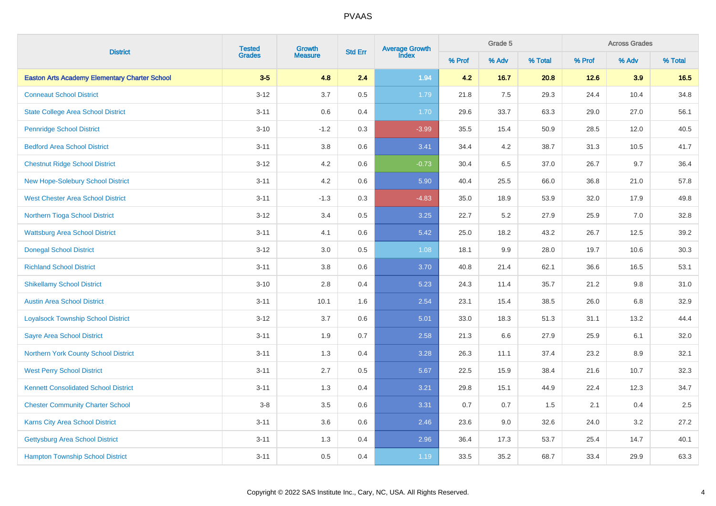|                                                      |          | <b>Tested</b><br>Grades<br>Growth |         | Average Growth<br>Index<br><b>Std Err</b> |        | Grade 5 |         | <b>Across Grades</b> |         |         |  |
|------------------------------------------------------|----------|-----------------------------------|---------|-------------------------------------------|--------|---------|---------|----------------------|---------|---------|--|
| <b>District</b>                                      |          | <b>Measure</b>                    |         |                                           | % Prof | % Adv   | % Total | % Prof               | % Adv   | % Total |  |
| <b>Easton Arts Academy Elementary Charter School</b> | $3-5$    | 4.8                               | 2.4     | 1.94                                      | 4.2    | 16.7    | 20.8    | 12.6                 | 3.9     | 16.5    |  |
| <b>Conneaut School District</b>                      | $3 - 12$ | 3.7                               | 0.5     | 1.79                                      | 21.8   | 7.5     | 29.3    | 24.4                 | 10.4    | 34.8    |  |
| <b>State College Area School District</b>            | $3 - 11$ | $0.6\,$                           | 0.4     | 1.70                                      | 29.6   | 33.7    | 63.3    | 29.0                 | 27.0    | 56.1    |  |
| <b>Pennridge School District</b>                     | $3 - 10$ | $-1.2$                            | 0.3     | $-3.99$                                   | 35.5   | 15.4    | 50.9    | 28.5                 | 12.0    | 40.5    |  |
| <b>Bedford Area School District</b>                  | $3 - 11$ | $3.8\,$                           | $0.6\,$ | 3.41                                      | 34.4   | $4.2\,$ | 38.7    | 31.3                 | 10.5    | 41.7    |  |
| <b>Chestnut Ridge School District</b>                | $3 - 12$ | 4.2                               | $0.6\,$ | $-0.73$                                   | 30.4   | $6.5\,$ | 37.0    | 26.7                 | 9.7     | 36.4    |  |
| <b>New Hope-Solebury School District</b>             | $3 - 11$ | 4.2                               | $0.6\,$ | 5.90                                      | 40.4   | 25.5    | 66.0    | 36.8                 | 21.0    | 57.8    |  |
| <b>West Chester Area School District</b>             | $3 - 11$ | $-1.3$                            | $0.3\,$ | $-4.83$                                   | 35.0   | 18.9    | 53.9    | 32.0                 | 17.9    | 49.8    |  |
| Northern Tioga School District                       | $3 - 12$ | 3.4                               | $0.5\,$ | 3.25                                      | 22.7   | 5.2     | 27.9    | 25.9                 | 7.0     | 32.8    |  |
| <b>Wattsburg Area School District</b>                | $3 - 11$ | 4.1                               | 0.6     | 5.42                                      | 25.0   | 18.2    | 43.2    | 26.7                 | 12.5    | 39.2    |  |
| <b>Donegal School District</b>                       | $3 - 12$ | 3.0                               | $0.5\,$ | 1.08                                      | 18.1   | $9.9\,$ | 28.0    | 19.7                 | 10.6    | 30.3    |  |
| <b>Richland School District</b>                      | $3 - 11$ | $3.8\,$                           | $0.6\,$ | 3.70                                      | 40.8   | 21.4    | 62.1    | 36.6                 | 16.5    | 53.1    |  |
| <b>Shikellamy School District</b>                    | $3 - 10$ | 2.8                               | 0.4     | 5.23                                      | 24.3   | 11.4    | 35.7    | 21.2                 | $9.8\,$ | 31.0    |  |
| <b>Austin Area School District</b>                   | $3 - 11$ | 10.1                              | 1.6     | 2.54                                      | 23.1   | 15.4    | 38.5    | 26.0                 | 6.8     | 32.9    |  |
| <b>Loyalsock Township School District</b>            | $3 - 12$ | 3.7                               | 0.6     | 5.01                                      | 33.0   | 18.3    | 51.3    | 31.1                 | 13.2    | 44.4    |  |
| <b>Sayre Area School District</b>                    | $3 - 11$ | 1.9                               | 0.7     | 2.58                                      | 21.3   | 6.6     | 27.9    | 25.9                 | 6.1     | 32.0    |  |
| Northern York County School District                 | $3 - 11$ | 1.3                               | 0.4     | 3.28                                      | 26.3   | 11.1    | 37.4    | 23.2                 | 8.9     | 32.1    |  |
| <b>West Perry School District</b>                    | $3 - 11$ | 2.7                               | 0.5     | 5.67                                      | 22.5   | 15.9    | 38.4    | 21.6                 | 10.7    | 32.3    |  |
| <b>Kennett Consolidated School District</b>          | $3 - 11$ | 1.3                               | 0.4     | 3.21                                      | 29.8   | 15.1    | 44.9    | 22.4                 | 12.3    | 34.7    |  |
| <b>Chester Community Charter School</b>              | $3 - 8$  | 3.5                               | 0.6     | 3.31                                      | 0.7    | 0.7     | 1.5     | 2.1                  | 0.4     | 2.5     |  |
| <b>Karns City Area School District</b>               | $3 - 11$ | 3.6                               | 0.6     | 2.46                                      | 23.6   | 9.0     | 32.6    | 24.0                 | 3.2     | 27.2    |  |
| <b>Gettysburg Area School District</b>               | $3 - 11$ | 1.3                               | 0.4     | 2.96                                      | 36.4   | 17.3    | 53.7    | 25.4                 | 14.7    | 40.1    |  |
| <b>Hampton Township School District</b>              | $3 - 11$ | 0.5                               | 0.4     | 1.19                                      | 33.5   | 35.2    | 68.7    | 33.4                 | 29.9    | 63.3    |  |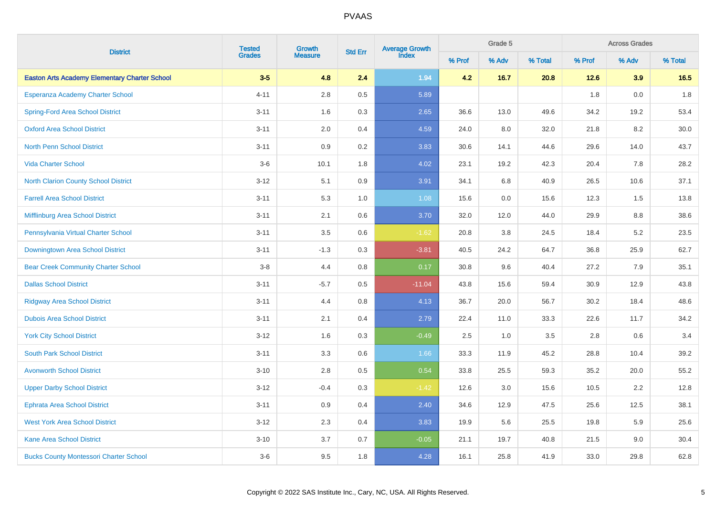|                                                      | <b>Tested</b><br>Growth | <b>Std Err</b> | <b>Average Growth</b><br>Index |          | Grade 5 |       | <b>Across Grades</b> |        |         |         |
|------------------------------------------------------|-------------------------|----------------|--------------------------------|----------|---------|-------|----------------------|--------|---------|---------|
| <b>District</b>                                      | <b>Grades</b>           | <b>Measure</b> |                                |          | % Prof  | % Adv | % Total              | % Prof | % Adv   | % Total |
| <b>Easton Arts Academy Elementary Charter School</b> | $3-5$                   | 4.8            | 2.4                            | 1.94     | 4.2     | 16.7  | 20.8                 | 12.6   | 3.9     | 16.5    |
| Esperanza Academy Charter School                     | $4 - 11$                | $2.8\,$        | 0.5                            | 5.89     |         |       |                      | 1.8    | 0.0     | 1.8     |
| <b>Spring-Ford Area School District</b>              | $3 - 11$                | 1.6            | 0.3                            | 2.65     | 36.6    | 13.0  | 49.6                 | 34.2   | 19.2    | 53.4    |
| <b>Oxford Area School District</b>                   | $3 - 11$                | 2.0            | 0.4                            | 4.59     | 24.0    | 8.0   | 32.0                 | 21.8   | 8.2     | 30.0    |
| <b>North Penn School District</b>                    | $3 - 11$                | 0.9            | 0.2                            | 3.83     | 30.6    | 14.1  | 44.6                 | 29.6   | 14.0    | 43.7    |
| <b>Vida Charter School</b>                           | $3-6$                   | 10.1           | 1.8                            | 4.02     | 23.1    | 19.2  | 42.3                 | 20.4   | 7.8     | 28.2    |
| <b>North Clarion County School District</b>          | $3 - 12$                | 5.1            | $0.9\,$                        | 3.91     | 34.1    | 6.8   | 40.9                 | 26.5   | 10.6    | 37.1    |
| <b>Farrell Area School District</b>                  | $3 - 11$                | 5.3            | 1.0                            | 1.08     | 15.6    | 0.0   | 15.6                 | 12.3   | 1.5     | 13.8    |
| Mifflinburg Area School District                     | $3 - 11$                | 2.1            | 0.6                            | 3.70     | 32.0    | 12.0  | 44.0                 | 29.9   | $8.8\,$ | 38.6    |
| Pennsylvania Virtual Charter School                  | $3 - 11$                | $3.5\,$        | $0.6\,$                        | $-1.62$  | 20.8    | 3.8   | 24.5                 | 18.4   | $5.2\,$ | 23.5    |
| Downingtown Area School District                     | $3 - 11$                | $-1.3$         | $0.3\,$                        | $-3.81$  | 40.5    | 24.2  | 64.7                 | 36.8   | 25.9    | 62.7    |
| <b>Bear Creek Community Charter School</b>           | $3-8$                   | 4.4            | 0.8                            | 0.17     | 30.8    | 9.6   | 40.4                 | 27.2   | 7.9     | 35.1    |
| <b>Dallas School District</b>                        | $3 - 11$                | $-5.7$         | 0.5                            | $-11.04$ | 43.8    | 15.6  | 59.4                 | 30.9   | 12.9    | 43.8    |
| <b>Ridgway Area School District</b>                  | $3 - 11$                | 4.4            | 0.8                            | 4.13     | 36.7    | 20.0  | 56.7                 | 30.2   | 18.4    | 48.6    |
| <b>Dubois Area School District</b>                   | $3 - 11$                | 2.1            | 0.4                            | 2.79     | 22.4    | 11.0  | 33.3                 | 22.6   | 11.7    | 34.2    |
| <b>York City School District</b>                     | $3 - 12$                | 1.6            | 0.3                            | $-0.49$  | 2.5     | 1.0   | 3.5                  | 2.8    | 0.6     | 3.4     |
| <b>South Park School District</b>                    | $3 - 11$                | 3.3            | 0.6                            | 1.66     | 33.3    | 11.9  | 45.2                 | 28.8   | 10.4    | 39.2    |
| <b>Avonworth School District</b>                     | $3 - 10$                | 2.8            | 0.5                            | 0.54     | 33.8    | 25.5  | 59.3                 | 35.2   | 20.0    | 55.2    |
| <b>Upper Darby School District</b>                   | $3 - 12$                | $-0.4$         | $0.3\,$                        | $-1.42$  | 12.6    | 3.0   | 15.6                 | 10.5   | 2.2     | 12.8    |
| <b>Ephrata Area School District</b>                  | $3 - 11$                | 0.9            | 0.4                            | 2.40     | 34.6    | 12.9  | 47.5                 | 25.6   | 12.5    | 38.1    |
| <b>West York Area School District</b>                | $3 - 12$                | 2.3            | 0.4                            | 3.83     | 19.9    | 5.6   | 25.5                 | 19.8   | 5.9     | 25.6    |
| <b>Kane Area School District</b>                     | $3 - 10$                | $3.7\,$        | 0.7                            | $-0.05$  | 21.1    | 19.7  | 40.8                 | 21.5   | 9.0     | 30.4    |
| <b>Bucks County Montessori Charter School</b>        | $3-6$                   | 9.5            | 1.8                            | 4.28     | 16.1    | 25.8  | 41.9                 | 33.0   | 29.8    | 62.8    |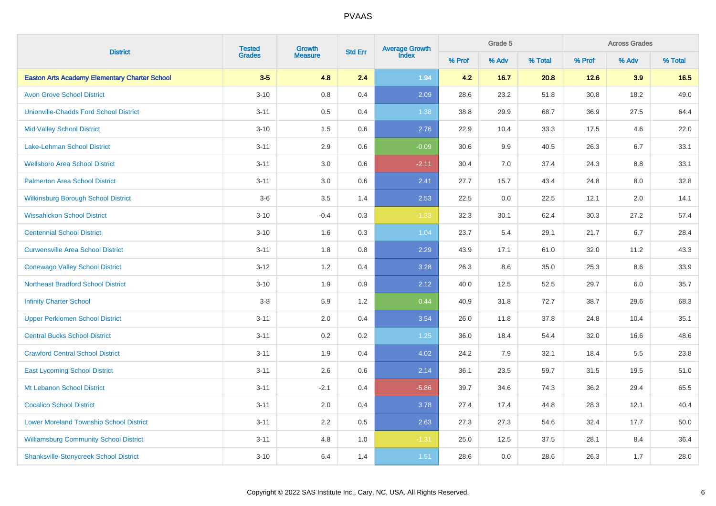| <b>District</b>                                      |               | <b>Tested</b><br>Growth |                | Average Growth<br>Index |        | Grade 5 |         | <b>Across Grades</b> |         |         |  |
|------------------------------------------------------|---------------|-------------------------|----------------|-------------------------|--------|---------|---------|----------------------|---------|---------|--|
|                                                      | <b>Grades</b> | <b>Measure</b>          | <b>Std Err</b> |                         | % Prof | % Adv   | % Total | % Prof               | % Adv   | % Total |  |
| <b>Easton Arts Academy Elementary Charter School</b> | $3-5$         | 4.8                     | 2.4            | 1.94                    | 4.2    | 16.7    | 20.8    | 12.6                 | 3.9     | 16.5    |  |
| <b>Avon Grove School District</b>                    | $3 - 10$      | 0.8                     | 0.4            | 2.09                    | 28.6   | 23.2    | 51.8    | 30.8                 | 18.2    | 49.0    |  |
| <b>Unionville-Chadds Ford School District</b>        | $3 - 11$      | $0.5\,$                 | 0.4            | 1.38                    | 38.8   | 29.9    | 68.7    | 36.9                 | 27.5    | 64.4    |  |
| <b>Mid Valley School District</b>                    | $3 - 10$      | 1.5                     | 0.6            | 2.76                    | 22.9   | 10.4    | 33.3    | 17.5                 | 4.6     | 22.0    |  |
| <b>Lake-Lehman School District</b>                   | $3 - 11$      | 2.9                     | 0.6            | $-0.09$                 | 30.6   | 9.9     | 40.5    | 26.3                 | 6.7     | 33.1    |  |
| <b>Wellsboro Area School District</b>                | $3 - 11$      | $3.0\,$                 | $0.6\,$        | $-2.11$                 | 30.4   | 7.0     | 37.4    | 24.3                 | $8.8\,$ | 33.1    |  |
| <b>Palmerton Area School District</b>                | $3 - 11$      | 3.0                     | $0.6\,$        | 2.41                    | 27.7   | 15.7    | 43.4    | 24.8                 | $8.0\,$ | 32.8    |  |
| <b>Wilkinsburg Borough School District</b>           | $3-6$         | 3.5                     | 1.4            | 2.53                    | 22.5   | 0.0     | 22.5    | 12.1                 | 2.0     | 14.1    |  |
| <b>Wissahickon School District</b>                   | $3 - 10$      | $-0.4$                  | 0.3            | $-1.33$                 | 32.3   | 30.1    | 62.4    | 30.3                 | 27.2    | 57.4    |  |
| <b>Centennial School District</b>                    | $3 - 10$      | 1.6                     | 0.3            | 1.04                    | 23.7   | 5.4     | 29.1    | 21.7                 | 6.7     | 28.4    |  |
| <b>Curwensville Area School District</b>             | $3 - 11$      | 1.8                     | 0.8            | 2.29                    | 43.9   | 17.1    | 61.0    | 32.0                 | 11.2    | 43.3    |  |
| <b>Conewago Valley School District</b>               | $3 - 12$      | 1.2                     | 0.4            | 3.28                    | 26.3   | 8.6     | 35.0    | 25.3                 | 8.6     | 33.9    |  |
| <b>Northeast Bradford School District</b>            | $3 - 10$      | 1.9                     | 0.9            | 2.12                    | 40.0   | 12.5    | 52.5    | 29.7                 | 6.0     | 35.7    |  |
| <b>Infinity Charter School</b>                       | $3-8$         | 5.9                     | 1.2            | 0.44                    | 40.9   | 31.8    | 72.7    | 38.7                 | 29.6    | 68.3    |  |
| <b>Upper Perkiomen School District</b>               | $3 - 11$      | 2.0                     | 0.4            | 3.54                    | 26.0   | 11.8    | 37.8    | 24.8                 | 10.4    | 35.1    |  |
| <b>Central Bucks School District</b>                 | $3 - 11$      | 0.2                     | 0.2            | $1.25$                  | 36.0   | 18.4    | 54.4    | 32.0                 | 16.6    | 48.6    |  |
| <b>Crawford Central School District</b>              | $3 - 11$      | 1.9                     | 0.4            | 4.02                    | 24.2   | 7.9     | 32.1    | 18.4                 | 5.5     | 23.8    |  |
| <b>East Lycoming School District</b>                 | $3 - 11$      | 2.6                     | 0.6            | 2.14                    | 36.1   | 23.5    | 59.7    | 31.5                 | 19.5    | 51.0    |  |
| Mt Lebanon School District                           | $3 - 11$      | $-2.1$                  | 0.4            | $-5.86$                 | 39.7   | 34.6    | 74.3    | 36.2                 | 29.4    | 65.5    |  |
| <b>Cocalico School District</b>                      | $3 - 11$      | 2.0                     | 0.4            | 3.78                    | 27.4   | 17.4    | 44.8    | 28.3                 | 12.1    | 40.4    |  |
| <b>Lower Moreland Township School District</b>       | $3 - 11$      | 2.2                     | $0.5\,$        | 2.63                    | 27.3   | 27.3    | 54.6    | 32.4                 | 17.7    | 50.0    |  |
| <b>Williamsburg Community School District</b>        | $3 - 11$      | 4.8                     | 1.0            | $-1.31$                 | 25.0   | 12.5    | 37.5    | 28.1                 | 8.4     | 36.4    |  |
| <b>Shanksville-Stonycreek School District</b>        | $3 - 10$      | 6.4                     | 1.4            | 1.51                    | 28.6   | 0.0     | 28.6    | 26.3                 | 1.7     | 28.0    |  |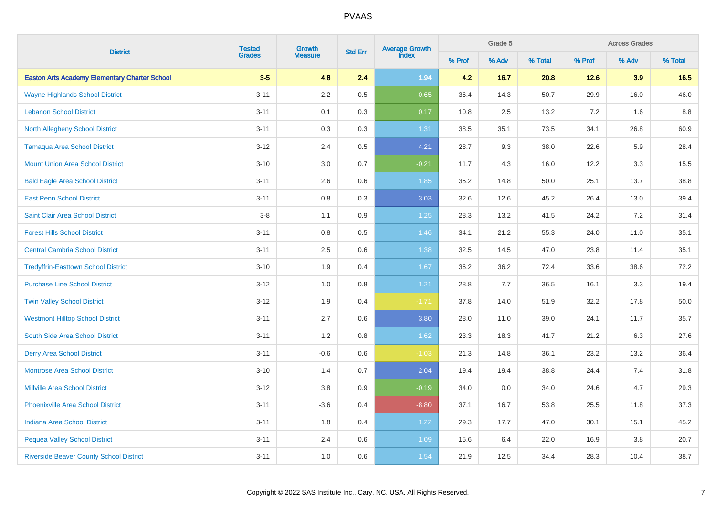|                                                      | <b>Tested</b><br>Growth |                | <b>Std Err</b> | Average Growth<br>Index |        | Grade 5 |         | <b>Across Grades</b> |         |         |  |
|------------------------------------------------------|-------------------------|----------------|----------------|-------------------------|--------|---------|---------|----------------------|---------|---------|--|
| <b>District</b>                                      | <b>Grades</b>           | <b>Measure</b> |                |                         | % Prof | % Adv   | % Total | % Prof               | % Adv   | % Total |  |
| <b>Easton Arts Academy Elementary Charter School</b> | $3-5$                   | 4.8            | 2.4            | 1.94                    | 4.2    | 16.7    | 20.8    | 12.6                 | 3.9     | 16.5    |  |
| <b>Wayne Highlands School District</b>               | $3 - 11$                | 2.2            | 0.5            | 0.65                    | 36.4   | 14.3    | 50.7    | 29.9                 | 16.0    | 46.0    |  |
| <b>Lebanon School District</b>                       | $3 - 11$                | 0.1            | 0.3            | 0.17                    | 10.8   | 2.5     | 13.2    | 7.2                  | 1.6     | 8.8     |  |
| <b>North Allegheny School District</b>               | $3 - 11$                | 0.3            | 0.3            | 1.31                    | 38.5   | 35.1    | 73.5    | 34.1                 | 26.8    | 60.9    |  |
| <b>Tamaqua Area School District</b>                  | $3 - 12$                | 2.4            | $0.5\,$        | 4.21                    | 28.7   | 9.3     | 38.0    | 22.6                 | 5.9     | 28.4    |  |
| <b>Mount Union Area School District</b>              | $3 - 10$                | 3.0            | 0.7            | $-0.21$                 | 11.7   | 4.3     | 16.0    | 12.2                 | $3.3\,$ | 15.5    |  |
| <b>Bald Eagle Area School District</b>               | $3 - 11$                | $2.6\,$        | $0.6\,$        | 1.85                    | 35.2   | 14.8    | 50.0    | 25.1                 | 13.7    | 38.8    |  |
| <b>East Penn School District</b>                     | $3 - 11$                | 0.8            | 0.3            | 3.03                    | 32.6   | 12.6    | 45.2    | 26.4                 | 13.0    | 39.4    |  |
| Saint Clair Area School District                     | $3-8$                   | 1.1            | 0.9            | $1.25$                  | 28.3   | 13.2    | 41.5    | 24.2                 | 7.2     | 31.4    |  |
| <b>Forest Hills School District</b>                  | $3 - 11$                | 0.8            | $0.5\,$        | 1.46                    | 34.1   | 21.2    | 55.3    | 24.0                 | 11.0    | 35.1    |  |
| <b>Central Cambria School District</b>               | $3 - 11$                | 2.5            | $0.6\,$        | 1.38                    | 32.5   | 14.5    | 47.0    | 23.8                 | 11.4    | 35.1    |  |
| <b>Tredyffrin-Easttown School District</b>           | $3 - 10$                | 1.9            | 0.4            | 1.67                    | 36.2   | 36.2    | 72.4    | 33.6                 | 38.6    | 72.2    |  |
| <b>Purchase Line School District</b>                 | $3 - 12$                | 1.0            | $0.8\,$        | 1.21                    | 28.8   | 7.7     | 36.5    | 16.1                 | 3.3     | 19.4    |  |
| <b>Twin Valley School District</b>                   | $3 - 12$                | 1.9            | 0.4            | $-1.71$                 | 37.8   | 14.0    | 51.9    | 32.2                 | 17.8    | 50.0    |  |
| <b>Westmont Hilltop School District</b>              | $3 - 11$                | 2.7            | 0.6            | 3.80                    | 28.0   | 11.0    | 39.0    | 24.1                 | 11.7    | 35.7    |  |
| South Side Area School District                      | $3 - 11$                | 1.2            | 0.8            | 1.62                    | 23.3   | 18.3    | 41.7    | 21.2                 | 6.3     | 27.6    |  |
| <b>Derry Area School District</b>                    | $3 - 11$                | $-0.6$         | 0.6            | $-1.03$                 | 21.3   | 14.8    | 36.1    | 23.2                 | 13.2    | 36.4    |  |
| <b>Montrose Area School District</b>                 | $3 - 10$                | 1.4            | 0.7            | 2.04                    | 19.4   | 19.4    | 38.8    | 24.4                 | 7.4     | 31.8    |  |
| <b>Millville Area School District</b>                | $3 - 12$                | 3.8            | 0.9            | $-0.19$                 | 34.0   | 0.0     | 34.0    | 24.6                 | 4.7     | 29.3    |  |
| <b>Phoenixville Area School District</b>             | $3 - 11$                | $-3.6$         | 0.4            | $-8.80$                 | 37.1   | 16.7    | 53.8    | 25.5                 | 11.8    | 37.3    |  |
| <b>Indiana Area School District</b>                  | $3 - 11$                | 1.8            | 0.4            | 1.22                    | 29.3   | 17.7    | 47.0    | 30.1                 | 15.1    | 45.2    |  |
| <b>Pequea Valley School District</b>                 | $3 - 11$                | 2.4            | $0.6\,$        | 1.09                    | 15.6   | 6.4     | 22.0    | 16.9                 | $3.8\,$ | 20.7    |  |
| <b>Riverside Beaver County School District</b>       | $3 - 11$                | 1.0            | 0.6            | 1.54                    | 21.9   | 12.5    | 34.4    | 28.3                 | 10.4    | 38.7    |  |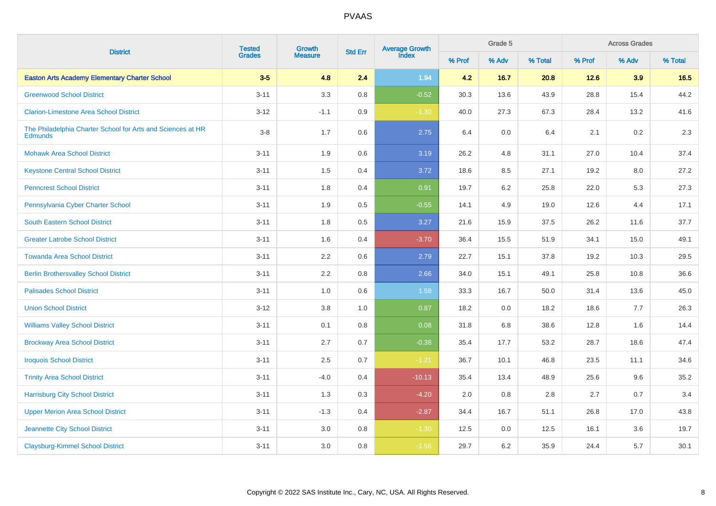| <b>District</b>                                                               | <b>Tested</b><br>Growth |                |     | Average Growth<br>Index<br><b>Std Err</b> |        | Grade 5 |         | <b>Across Grades</b> |       |         |  |
|-------------------------------------------------------------------------------|-------------------------|----------------|-----|-------------------------------------------|--------|---------|---------|----------------------|-------|---------|--|
|                                                                               | <b>Grades</b>           | <b>Measure</b> |     |                                           | % Prof | % Adv   | % Total | % Prof               | % Adv | % Total |  |
| <b>Easton Arts Academy Elementary Charter School</b>                          | $3-5$                   | 4.8            | 2.4 | 1.94                                      | 4.2    | 16.7    | 20.8    | 12.6                 | 3.9   | 16.5    |  |
| <b>Greenwood School District</b>                                              | $3 - 11$                | 3.3            | 0.8 | $-0.52$                                   | 30.3   | 13.6    | 43.9    | 28.8                 | 15.4  | 44.2    |  |
| <b>Clarion-Limestone Area School District</b>                                 | $3-12$                  | $-1.1$         | 0.9 | $-1.30$                                   | 40.0   | 27.3    | 67.3    | 28.4                 | 13.2  | 41.6    |  |
| The Philadelphia Charter School for Arts and Sciences at HR<br><b>Edmunds</b> | $3 - 8$                 | 1.7            | 0.6 | 2.75                                      | 6.4    | $0.0\,$ | 6.4     | 2.1                  | 0.2   | 2.3     |  |
| <b>Mohawk Area School District</b>                                            | $3 - 11$                | 1.9            | 0.6 | 3.19                                      | 26.2   | $4.8\,$ | 31.1    | 27.0                 | 10.4  | 37.4    |  |
| <b>Keystone Central School District</b>                                       | $3 - 11$                | 1.5            | 0.4 | 3.72                                      | 18.6   | 8.5     | 27.1    | 19.2                 | 8.0   | 27.2    |  |
| <b>Penncrest School District</b>                                              | $3 - 11$                | 1.8            | 0.4 | 0.91                                      | 19.7   | 6.2     | 25.8    | 22.0                 | 5.3   | 27.3    |  |
| Pennsylvania Cyber Charter School                                             | $3 - 11$                | 1.9            | 0.5 | $-0.55$                                   | 14.1   | 4.9     | 19.0    | 12.6                 | 4.4   | 17.1    |  |
| <b>South Eastern School District</b>                                          | $3 - 11$                | 1.8            | 0.5 | 3.27                                      | 21.6   | 15.9    | 37.5    | 26.2                 | 11.6  | 37.7    |  |
| <b>Greater Latrobe School District</b>                                        | $3 - 11$                | 1.6            | 0.4 | $-3.70$                                   | 36.4   | 15.5    | 51.9    | 34.1                 | 15.0  | 49.1    |  |
| <b>Towanda Area School District</b>                                           | $3 - 11$                | 2.2            | 0.6 | 2.79                                      | 22.7   | 15.1    | 37.8    | 19.2                 | 10.3  | 29.5    |  |
| <b>Berlin Brothersvalley School District</b>                                  | $3 - 11$                | 2.2            | 0.8 | 2.66                                      | 34.0   | 15.1    | 49.1    | 25.8                 | 10.8  | 36.6    |  |
| <b>Palisades School District</b>                                              | $3 - 11$                | 1.0            | 0.6 | 1.58                                      | 33.3   | 16.7    | 50.0    | 31.4                 | 13.6  | 45.0    |  |
| <b>Union School District</b>                                                  | $3 - 12$                | 3.8            | 1.0 | 0.87                                      | 18.2   | $0.0\,$ | 18.2    | 18.6                 | 7.7   | 26.3    |  |
| <b>Williams Valley School District</b>                                        | $3 - 11$                | 0.1            | 0.8 | 0.08                                      | 31.8   | 6.8     | 38.6    | 12.8                 | 1.6   | 14.4    |  |
| <b>Brockway Area School District</b>                                          | $3 - 11$                | 2.7            | 0.7 | $-0.38$                                   | 35.4   | 17.7    | 53.2    | 28.7                 | 18.6  | 47.4    |  |
| <b>Iroquois School District</b>                                               | $3 - 11$                | 2.5            | 0.7 | $-1.21$                                   | 36.7   | 10.1    | 46.8    | 23.5                 | 11.1  | 34.6    |  |
| <b>Trinity Area School District</b>                                           | $3 - 11$                | $-4.0$         | 0.4 | $-10.13$                                  | 35.4   | 13.4    | 48.9    | 25.6                 | 9.6   | 35.2    |  |
| <b>Harrisburg City School District</b>                                        | $3 - 11$                | 1.3            | 0.3 | $-4.20$                                   | 2.0    | 0.8     | 2.8     | 2.7                  | 0.7   | 3.4     |  |
| <b>Upper Merion Area School District</b>                                      | $3 - 11$                | $-1.3$         | 0.4 | $-2.87$                                   | 34.4   | 16.7    | 51.1    | 26.8                 | 17.0  | 43.8    |  |
| Jeannette City School District                                                | $3 - 11$                | 3.0            | 0.8 | $-1.30$                                   | 12.5   | 0.0     | 12.5    | 16.1                 | 3.6   | 19.7    |  |
| <b>Claysburg-Kimmel School District</b>                                       | $3 - 11$                | 3.0            | 0.8 | $-1.56$                                   | 29.7   | 6.2     | 35.9    | 24.4                 | 5.7   | 30.1    |  |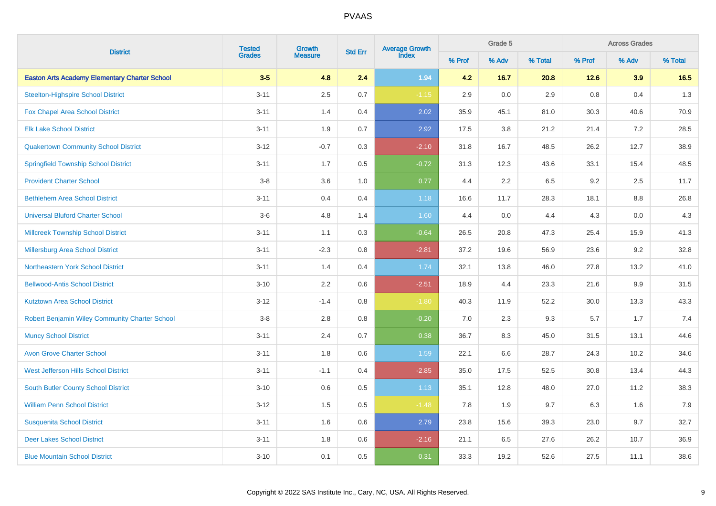| <b>District</b>                                      | <b>Tested</b> | Growth         |         | Average Growth<br>Index<br><b>Std Err</b> |        | Grade 5 |         | <b>Across Grades</b> |         |         |  |
|------------------------------------------------------|---------------|----------------|---------|-------------------------------------------|--------|---------|---------|----------------------|---------|---------|--|
|                                                      | <b>Grades</b> | <b>Measure</b> |         |                                           | % Prof | % Adv   | % Total | % Prof               | % Adv   | % Total |  |
| <b>Easton Arts Academy Elementary Charter School</b> | $3-5$         | 4.8            | 2.4     | 1.94                                      | 4.2    | 16.7    | 20.8    | 12.6                 | 3.9     | 16.5    |  |
| <b>Steelton-Highspire School District</b>            | $3 - 11$      | 2.5            | 0.7     | $-1.15$                                   | 2.9    | 0.0     | 2.9     | 0.8                  | 0.4     | 1.3     |  |
| <b>Fox Chapel Area School District</b>               | $3 - 11$      | 1.4            | 0.4     | 2.02                                      | 35.9   | 45.1    | 81.0    | 30.3                 | 40.6    | 70.9    |  |
| <b>Elk Lake School District</b>                      | $3 - 11$      | 1.9            | 0.7     | 2.92                                      | 17.5   | 3.8     | 21.2    | 21.4                 | 7.2     | 28.5    |  |
| <b>Quakertown Community School District</b>          | $3 - 12$      | $-0.7$         | 0.3     | $-2.10$                                   | 31.8   | 16.7    | 48.5    | 26.2                 | 12.7    | 38.9    |  |
| <b>Springfield Township School District</b>          | $3 - 11$      | 1.7            | $0.5\,$ | $-0.72$                                   | 31.3   | 12.3    | 43.6    | 33.1                 | 15.4    | 48.5    |  |
| <b>Provident Charter School</b>                      | $3-8$         | 3.6            | 1.0     | 0.77                                      | 4.4    | 2.2     | 6.5     | 9.2                  | 2.5     | 11.7    |  |
| <b>Bethlehem Area School District</b>                | $3 - 11$      | 0.4            | 0.4     | 1.18                                      | 16.6   | 11.7    | 28.3    | 18.1                 | 8.8     | 26.8    |  |
| <b>Universal Bluford Charter School</b>              | $3-6$         | 4.8            | 1.4     | 1.60                                      | 4.4    | 0.0     | 4.4     | 4.3                  | 0.0     | 4.3     |  |
| Millcreek Township School District                   | $3 - 11$      | 1.1            | 0.3     | $-0.64$                                   | 26.5   | 20.8    | 47.3    | 25.4                 | 15.9    | 41.3    |  |
| Millersburg Area School District                     | $3 - 11$      | $-2.3$         | 0.8     | $-2.81$                                   | 37.2   | 19.6    | 56.9    | 23.6                 | $9.2\,$ | 32.8    |  |
| Northeastern York School District                    | $3 - 11$      | 1.4            | 0.4     | 1.74                                      | 32.1   | 13.8    | 46.0    | 27.8                 | 13.2    | 41.0    |  |
| <b>Bellwood-Antis School District</b>                | $3 - 10$      | 2.2            | 0.6     | $-2.51$                                   | 18.9   | 4.4     | 23.3    | 21.6                 | 9.9     | 31.5    |  |
| <b>Kutztown Area School District</b>                 | $3 - 12$      | $-1.4$         | 0.8     | $-1.80$                                   | 40.3   | 11.9    | 52.2    | 30.0                 | 13.3    | 43.3    |  |
| Robert Benjamin Wiley Community Charter School       | $3-8$         | 2.8            | 0.8     | $-0.20$                                   | 7.0    | 2.3     | 9.3     | 5.7                  | 1.7     | 7.4     |  |
| <b>Muncy School District</b>                         | $3 - 11$      | 2.4            | 0.7     | 0.38                                      | 36.7   | 8.3     | 45.0    | 31.5                 | 13.1    | 44.6    |  |
| <b>Avon Grove Charter School</b>                     | $3 - 11$      | 1.8            | 0.6     | 1.59                                      | 22.1   | 6.6     | 28.7    | 24.3                 | 10.2    | 34.6    |  |
| <b>West Jefferson Hills School District</b>          | $3 - 11$      | $-1.1$         | 0.4     | $-2.85$                                   | 35.0   | 17.5    | 52.5    | 30.8                 | 13.4    | 44.3    |  |
| South Butler County School District                  | $3 - 10$      | 0.6            | $0.5\,$ | 1.13                                      | 35.1   | 12.8    | 48.0    | 27.0                 | 11.2    | 38.3    |  |
| <b>William Penn School District</b>                  | $3 - 12$      | 1.5            | 0.5     | $-1.48$                                   | 7.8    | 1.9     | 9.7     | 6.3                  | 1.6     | 7.9     |  |
| <b>Susquenita School District</b>                    | $3 - 11$      | 1.6            | 0.6     | 2.79                                      | 23.8   | 15.6    | 39.3    | 23.0                 | 9.7     | 32.7    |  |
| <b>Deer Lakes School District</b>                    | $3 - 11$      | 1.8            | 0.6     | $-2.16$                                   | 21.1   | 6.5     | 27.6    | 26.2                 | 10.7    | 36.9    |  |
| <b>Blue Mountain School District</b>                 | $3 - 10$      | 0.1            | 0.5     | 0.31                                      | 33.3   | 19.2    | 52.6    | 27.5                 | 11.1    | 38.6    |  |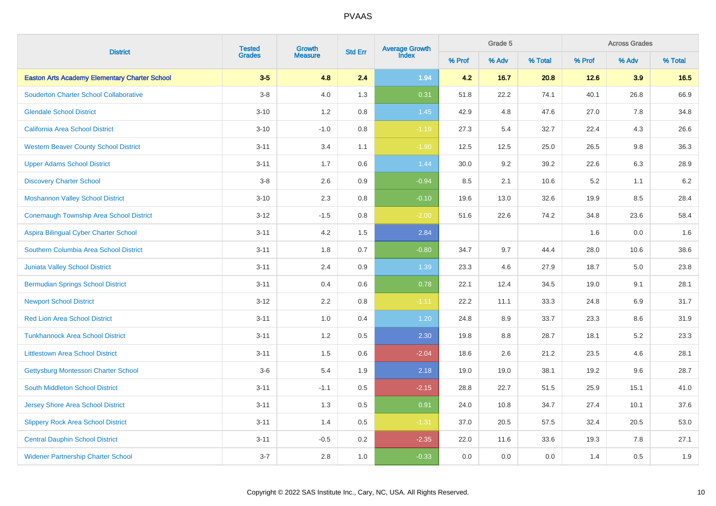| <b>District</b>                                      | <b>Tested</b> | Growth         |         | Average Growth<br>Index<br><b>Std Err</b> |        | Grade 5 |         | <b>Across Grades</b> |         |         |  |
|------------------------------------------------------|---------------|----------------|---------|-------------------------------------------|--------|---------|---------|----------------------|---------|---------|--|
|                                                      | <b>Grades</b> | <b>Measure</b> |         |                                           | % Prof | % Adv   | % Total | % Prof               | % Adv   | % Total |  |
| <b>Easton Arts Academy Elementary Charter School</b> | $3-5$         | 4.8            | 2.4     | 1.94                                      | 4.2    | 16.7    | 20.8    | 12.6                 | 3.9     | 16.5    |  |
| <b>Souderton Charter School Collaborative</b>        | $3 - 8$       | 4.0            | 1.3     | 0.31                                      | 51.8   | 22.2    | 74.1    | 40.1                 | 26.8    | 66.9    |  |
| <b>Glendale School District</b>                      | $3 - 10$      | 1.2            | $0.8\,$ | 1.45                                      | 42.9   | 4.8     | 47.6    | 27.0                 | $7.8\,$ | 34.8    |  |
| California Area School District                      | $3 - 10$      | $-1.0$         | 0.8     | $-1.19$                                   | 27.3   | 5.4     | 32.7    | 22.4                 | 4.3     | 26.6    |  |
| <b>Western Beaver County School District</b>         | $3 - 11$      | 3.4            | 1.1     | $-1.90$                                   | 12.5   | 12.5    | 25.0    | 26.5                 | $9.8\,$ | 36.3    |  |
| <b>Upper Adams School District</b>                   | $3 - 11$      | 1.7            | 0.6     | 1.44                                      | 30.0   | 9.2     | 39.2    | 22.6                 | $6.3\,$ | 28.9    |  |
| <b>Discovery Charter School</b>                      | $3-8$         | 2.6            | 0.9     | $-0.94$                                   | 8.5    | 2.1     | 10.6    | 5.2                  | 1.1     | $6.2\,$ |  |
| <b>Moshannon Valley School District</b>              | $3 - 10$      | 2.3            | 0.8     | $-0.10$                                   | 19.6   | 13.0    | 32.6    | 19.9                 | 8.5     | 28.4    |  |
| <b>Conemaugh Township Area School District</b>       | $3 - 12$      | $-1.5$         | 0.8     | $-2.00$                                   | 51.6   | 22.6    | 74.2    | 34.8                 | 23.6    | 58.4    |  |
| Aspira Bilingual Cyber Charter School                | $3 - 11$      | 4.2            | 1.5     | 2.84                                      |        |         |         | 1.6                  | 0.0     | 1.6     |  |
| Southern Columbia Area School District               | $3 - 11$      | 1.8            | 0.7     | $-0.80$                                   | 34.7   | 9.7     | 44.4    | 28.0                 | 10.6    | 38.6    |  |
| <b>Juniata Valley School District</b>                | $3 - 11$      | 2.4            | 0.9     | 1.39                                      | 23.3   | 4.6     | 27.9    | 18.7                 | 5.0     | 23.8    |  |
| <b>Bermudian Springs School District</b>             | $3 - 11$      | 0.4            | 0.6     | 0.78                                      | 22.1   | 12.4    | 34.5    | 19.0                 | 9.1     | 28.1    |  |
| <b>Newport School District</b>                       | $3 - 12$      | 2.2            | 0.8     | $-1.11$                                   | 22.2   | 11.1    | 33.3    | 24.8                 | 6.9     | 31.7    |  |
| <b>Red Lion Area School District</b>                 | $3 - 11$      | 1.0            | 0.4     | 1.20                                      | 24.8   | 8.9     | 33.7    | 23.3                 | 8.6     | 31.9    |  |
| <b>Tunkhannock Area School District</b>              | $3 - 11$      | 1.2            | 0.5     | 2.30                                      | 19.8   | 8.8     | 28.7    | 18.1                 | 5.2     | 23.3    |  |
| <b>Littlestown Area School District</b>              | $3 - 11$      | 1.5            | 0.6     | $-2.04$                                   | 18.6   | 2.6     | 21.2    | 23.5                 | 4.6     | 28.1    |  |
| Gettysburg Montessori Charter School                 | $3-6$         | 5.4            | 1.9     | 2.18                                      | 19.0   | 19.0    | 38.1    | 19.2                 | 9.6     | 28.7    |  |
| South Middleton School District                      | $3 - 11$      | $-1.1$         | 0.5     | $-2.15$                                   | 28.8   | 22.7    | 51.5    | 25.9                 | 15.1    | 41.0    |  |
| <b>Jersey Shore Area School District</b>             | $3 - 11$      | 1.3            | 0.5     | 0.91                                      | 24.0   | 10.8    | 34.7    | 27.4                 | 10.1    | 37.6    |  |
| <b>Slippery Rock Area School District</b>            | $3 - 11$      | 1.4            | 0.5     | $-1.31$                                   | 37.0   | 20.5    | 57.5    | 32.4                 | 20.5    | 53.0    |  |
| <b>Central Dauphin School District</b>               | $3 - 11$      | $-0.5$         | 0.2     | $-2.35$                                   | 22.0   | 11.6    | 33.6    | 19.3                 | 7.8     | 27.1    |  |
| <b>Widener Partnership Charter School</b>            | $3 - 7$       | 2.8            | 1.0     | $-0.33$                                   | 0.0    | 0.0     | 0.0     | 1.4                  | 0.5     | 1.9     |  |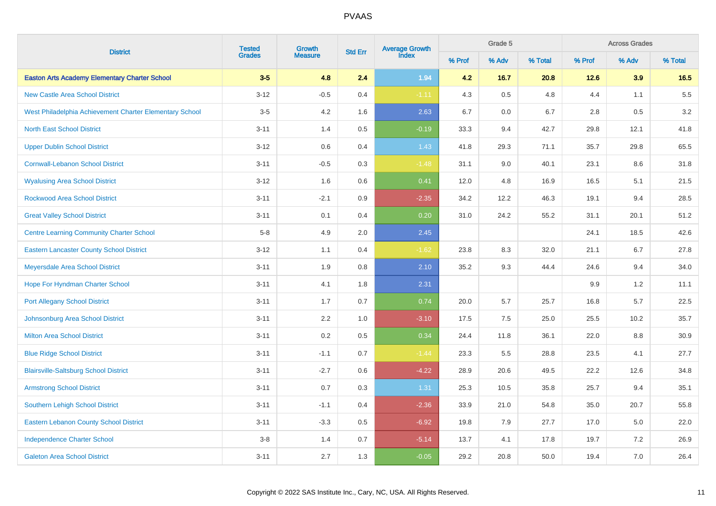| <b>District</b>                                         | <b>Tested</b> | Growth         |         | Average Growth<br>Index<br><b>Std Err</b> |        | Grade 5 |         | <b>Across Grades</b> |         |         |  |
|---------------------------------------------------------|---------------|----------------|---------|-------------------------------------------|--------|---------|---------|----------------------|---------|---------|--|
|                                                         | <b>Grades</b> | <b>Measure</b> |         |                                           | % Prof | % Adv   | % Total | % Prof               | % Adv   | % Total |  |
| <b>Easton Arts Academy Elementary Charter School</b>    | $3-5$         | 4.8            | 2.4     | 1.94                                      | 4.2    | 16.7    | 20.8    | 12.6                 | 3.9     | 16.5    |  |
| <b>New Castle Area School District</b>                  | $3 - 12$      | $-0.5$         | 0.4     | $-1.11$                                   | 4.3    | $0.5\,$ | 4.8     | 4.4                  | 1.1     | $5.5\,$ |  |
| West Philadelphia Achievement Charter Elementary School | $3-5$         | 4.2            | 1.6     | 2.63                                      | 6.7    | $0.0\,$ | 6.7     | 2.8                  | $0.5\,$ | 3.2     |  |
| <b>North East School District</b>                       | $3 - 11$      | 1.4            | 0.5     | $-0.19$                                   | 33.3   | 9.4     | 42.7    | 29.8                 | 12.1    | 41.8    |  |
| <b>Upper Dublin School District</b>                     | $3 - 12$      | 0.6            | 0.4     | 1.43                                      | 41.8   | 29.3    | 71.1    | 35.7                 | 29.8    | 65.5    |  |
| <b>Cornwall-Lebanon School District</b>                 | $3 - 11$      | $-0.5$         | $0.3\,$ | $-1.48$                                   | 31.1   | 9.0     | 40.1    | 23.1                 | 8.6     | 31.8    |  |
| <b>Wyalusing Area School District</b>                   | $3 - 12$      | 1.6            | 0.6     | 0.41                                      | 12.0   | 4.8     | 16.9    | 16.5                 | 5.1     | 21.5    |  |
| <b>Rockwood Area School District</b>                    | $3 - 11$      | $-2.1$         | 0.9     | $-2.35$                                   | 34.2   | 12.2    | 46.3    | 19.1                 | 9.4     | 28.5    |  |
| <b>Great Valley School District</b>                     | $3 - 11$      | 0.1            | 0.4     | 0.20                                      | 31.0   | 24.2    | 55.2    | 31.1                 | 20.1    | 51.2    |  |
| <b>Centre Learning Community Charter School</b>         | $5-8$         | 4.9            | 2.0     | 2.45                                      |        |         |         | 24.1                 | 18.5    | 42.6    |  |
| <b>Eastern Lancaster County School District</b>         | $3 - 12$      | 1.1            | 0.4     | $-1.62$                                   | 23.8   | 8.3     | 32.0    | 21.1                 | 6.7     | 27.8    |  |
| Meyersdale Area School District                         | $3 - 11$      | 1.9            | 0.8     | 2.10                                      | 35.2   | 9.3     | 44.4    | 24.6                 | 9.4     | 34.0    |  |
| Hope For Hyndman Charter School                         | $3 - 11$      | 4.1            | 1.8     | 2.31                                      |        |         |         | 9.9                  | 1.2     | 11.1    |  |
| <b>Port Allegany School District</b>                    | $3 - 11$      | 1.7            | 0.7     | 0.74                                      | 20.0   | 5.7     | 25.7    | 16.8                 | 5.7     | 22.5    |  |
| <b>Johnsonburg Area School District</b>                 | $3 - 11$      | 2.2            | 1.0     | $-3.10$                                   | 17.5   | 7.5     | 25.0    | 25.5                 | 10.2    | 35.7    |  |
| <b>Milton Area School District</b>                      | $3 - 11$      | 0.2            | 0.5     | 0.34                                      | 24.4   | 11.8    | 36.1    | 22.0                 | 8.8     | 30.9    |  |
| <b>Blue Ridge School District</b>                       | $3 - 11$      | $-1.1$         | 0.7     | $-1.44$                                   | 23.3   | 5.5     | 28.8    | 23.5                 | 4.1     | 27.7    |  |
| <b>Blairsville-Saltsburg School District</b>            | $3 - 11$      | $-2.7$         | 0.6     | $-4.22$                                   | 28.9   | 20.6    | 49.5    | 22.2                 | 12.6    | 34.8    |  |
| <b>Armstrong School District</b>                        | $3 - 11$      | 0.7            | 0.3     | 1.31                                      | 25.3   | 10.5    | 35.8    | 25.7                 | 9.4     | 35.1    |  |
| Southern Lehigh School District                         | $3 - 11$      | $-1.1$         | 0.4     | $-2.36$                                   | 33.9   | 21.0    | 54.8    | 35.0                 | 20.7    | 55.8    |  |
| <b>Eastern Lebanon County School District</b>           | $3 - 11$      | $-3.3$         | 0.5     | $-6.92$                                   | 19.8   | 7.9     | 27.7    | 17.0                 | 5.0     | 22.0    |  |
| <b>Independence Charter School</b>                      | $3-8$         | 1.4            | 0.7     | $-5.14$                                   | 13.7   | 4.1     | 17.8    | 19.7                 | 7.2     | 26.9    |  |
| <b>Galeton Area School District</b>                     | $3 - 11$      | 2.7            | 1.3     | $-0.05$                                   | 29.2   | 20.8    | 50.0    | 19.4                 | 7.0     | 26.4    |  |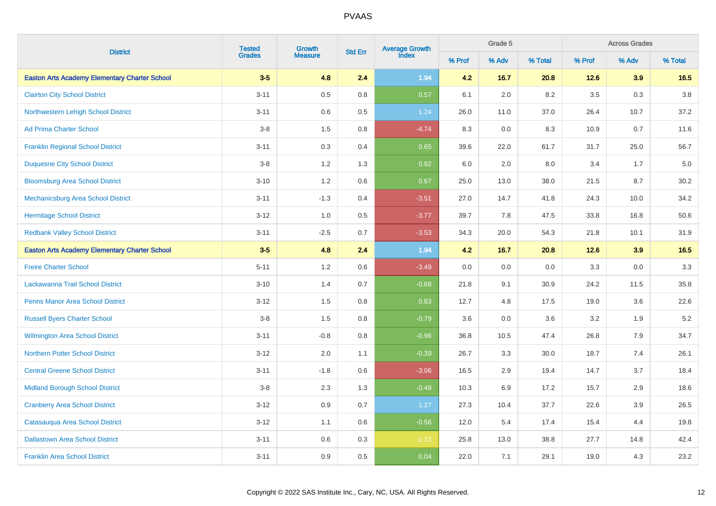| <b>District</b>                                      | <b>Tested</b> | Growth         | <b>Std Err</b> | Average Growth<br>Index |        | Grade 5 |         |        | <b>Across Grades</b><br>% Adv |         |
|------------------------------------------------------|---------------|----------------|----------------|-------------------------|--------|---------|---------|--------|-------------------------------|---------|
|                                                      | <b>Grades</b> | <b>Measure</b> |                |                         | % Prof | % Adv   | % Total | % Prof |                               | % Total |
| <b>Easton Arts Academy Elementary Charter School</b> | $3-5$         | 4.8            | 2.4            | 1.94                    | 4.2    | 16.7    | 20.8    | 12.6   | 3.9                           | 16.5    |
| <b>Clairton City School District</b>                 | $3 - 11$      | $0.5\,$        | 0.8            | 0.57                    | 6.1    | 2.0     | 8.2     | 3.5    | 0.3                           | $3.8\,$ |
| Northwestern Lehigh School District                  | $3 - 11$      | $0.6\,$        | 0.5            | 1.24                    | 26.0   | 11.0    | 37.0    | 26.4   | 10.7                          | 37.2    |
| <b>Ad Prima Charter School</b>                       | $3-8$         | 1.5            | 0.8            | $-4.74$                 | 8.3    | 0.0     | 8.3     | 10.9   | 0.7                           | 11.6    |
| <b>Franklin Regional School District</b>             | $3 - 11$      | 0.3            | 0.4            | 0.65                    | 39.6   | 22.0    | 61.7    | 31.7   | 25.0                          | 56.7    |
| <b>Duquesne City School District</b>                 | $3-8$         | 1.2            | 1.3            | 0.92                    | 6.0    | 2.0     | 8.0     | 3.4    | 1.7                           | $5.0\,$ |
| <b>Bloomsburg Area School District</b>               | $3 - 10$      | 1.2            | 0.6            | 0.67                    | 25.0   | 13.0    | 38.0    | 21.5   | 8.7                           | 30.2    |
| Mechanicsburg Area School District                   | $3 - 11$      | $-1.3$         | 0.4            | $-3.51$                 | 27.0   | 14.7    | 41.8    | 24.3   | 10.0                          | 34.2    |
| <b>Hermitage School District</b>                     | $3 - 12$      | 1.0            | 0.5            | $-3.77$                 | 39.7   | 7.8     | 47.5    | 33.8   | 16.8                          | 50.6    |
| <b>Redbank Valley School District</b>                | $3 - 11$      | $-2.5$         | 0.7            | $-3.53$                 | 34.3   | 20.0    | 54.3    | 21.8   | 10.1                          | 31.9    |
| <b>Easton Arts Academy Elementary Charter School</b> | $3-5$         | 4.8            | 2.4            | 1.94                    | 4.2    | 16.7    | 20.8    | 12.6   | 3.9                           | 16.5    |
| <b>Freire Charter School</b>                         | $5 - 11$      | 1.2            | 0.6            | $-3.49$                 | 0.0    | 0.0     | 0.0     | 3.3    | 0.0                           | 3.3     |
| Lackawanna Trail School District                     | $3 - 10$      | 1.4            | 0.7            | $-0.68$                 | 21.8   | 9.1     | 30.9    | 24.2   | 11.5                          | 35.8    |
| <b>Penns Manor Area School District</b>              | $3 - 12$      | 1.5            | 0.8            | 0.83                    | 12.7   | 4.8     | 17.5    | 19.0   | 3.6                           | 22.6    |
| <b>Russell Byers Charter School</b>                  | $3-8$         | 1.5            | 0.8            | $-0.79$                 | 3.6    | 0.0     | 3.6     | 3.2    | 1.9                           | 5.2     |
| <b>Wilmington Area School District</b>               | $3 - 11$      | $-0.8$         | 0.8            | $-0.96$                 | 36.8   | 10.5    | 47.4    | 26.8   | 7.9                           | 34.7    |
| <b>Northern Potter School District</b>               | $3 - 12$      | 2.0            | 1.1            | $-0.39$                 | 26.7   | 3.3     | 30.0    | 18.7   | 7.4                           | 26.1    |
| <b>Central Greene School District</b>                | $3 - 11$      | $-1.8$         | 0.6            | $-3.06$                 | 16.5   | 2.9     | 19.4    | 14.7   | 3.7                           | 18.4    |
| <b>Midland Borough School District</b>               | $3-8$         | 2.3            | 1.3            | $-0.49$                 | 10.3   | 6.9     | 17.2    | 15.7   | 2.9                           | 18.6    |
| <b>Cranberry Area School District</b>                | $3-12$        | 0.9            | 0.7            | 1.27                    | 27.3   | 10.4    | 37.7    | 22.6   | 3.9                           | 26.5    |
| Catasauqua Area School District                      | $3 - 12$      | 1.1            | 0.6            | $-0.56$                 | 12.0   | 5.4     | 17.4    | 15.4   | 4.4                           | 19.8    |
| <b>Dallastown Area School District</b>               | $3 - 11$      | 0.6            | 0.3            | $-1.13$                 | 25.8   | 13.0    | 38.8    | 27.7   | 14.8                          | 42.4    |
| <b>Franklin Area School District</b>                 | $3 - 11$      | 0.9            | 0.5            | 0.04                    | 22.0   | 7.1     | 29.1    | 19.0   | 4.3                           | 23.2    |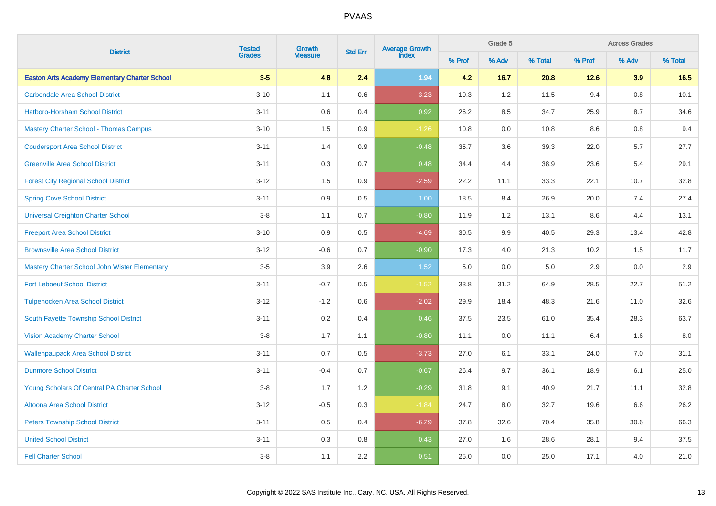| <b>District</b>                                      | <b>Tested</b> | Growth         | <b>Std Err</b> | Average Growth<br>Index |        | Grade 5 |         |        | <b>Across Grades</b><br>% Adv |         |
|------------------------------------------------------|---------------|----------------|----------------|-------------------------|--------|---------|---------|--------|-------------------------------|---------|
|                                                      | <b>Grades</b> | <b>Measure</b> |                |                         | % Prof | % Adv   | % Total | % Prof |                               | % Total |
| <b>Easton Arts Academy Elementary Charter School</b> | $3-5$         | 4.8            | 2.4            | 1.94                    | 4.2    | 16.7    | 20.8    | 12.6   | 3.9                           | 16.5    |
| <b>Carbondale Area School District</b>               | $3 - 10$      | 1.1            | 0.6            | $-3.23$                 | 10.3   | 1.2     | 11.5    | 9.4    | $0.8\,$                       | 10.1    |
| <b>Hatboro-Horsham School District</b>               | $3 - 11$      | $0.6\,$        | 0.4            | 0.92                    | 26.2   | 8.5     | 34.7    | 25.9   | 8.7                           | 34.6    |
| Mastery Charter School - Thomas Campus               | $3 - 10$      | 1.5            | 0.9            | $-1.26$                 | 10.8   | 0.0     | 10.8    | 8.6    | 0.8                           | 9.4     |
| <b>Coudersport Area School District</b>              | $3 - 11$      | 1.4            | 0.9            | $-0.48$                 | 35.7   | 3.6     | 39.3    | 22.0   | 5.7                           | 27.7    |
| <b>Greenville Area School District</b>               | $3 - 11$      | 0.3            | 0.7            | 0.48                    | 34.4   | 4.4     | 38.9    | 23.6   | 5.4                           | 29.1    |
| <b>Forest City Regional School District</b>          | $3 - 12$      | 1.5            | 0.9            | $-2.59$                 | 22.2   | 11.1    | 33.3    | 22.1   | 10.7                          | 32.8    |
| <b>Spring Cove School District</b>                   | $3 - 11$      | 0.9            | 0.5            | 1.00                    | 18.5   | 8.4     | 26.9    | 20.0   | 7.4                           | 27.4    |
| <b>Universal Creighton Charter School</b>            | $3-8$         | 1.1            | 0.7            | $-0.80$                 | 11.9   | 1.2     | 13.1    | 8.6    | 4.4                           | 13.1    |
| <b>Freeport Area School District</b>                 | $3 - 10$      | 0.9            | 0.5            | $-4.69$                 | 30.5   | 9.9     | 40.5    | 29.3   | 13.4                          | 42.8    |
| <b>Brownsville Area School District</b>              | $3 - 12$      | $-0.6$         | 0.7            | $-0.90$                 | 17.3   | 4.0     | 21.3    | 10.2   | 1.5                           | 11.7    |
| Mastery Charter School John Wister Elementary        | $3-5$         | 3.9            | 2.6            | 1.52                    | 5.0    | 0.0     | 5.0     | 2.9    | 0.0                           | 2.9     |
| <b>Fort Leboeuf School District</b>                  | $3 - 11$      | $-0.7$         | 0.5            | $-1.52$                 | 33.8   | 31.2    | 64.9    | 28.5   | 22.7                          | 51.2    |
| <b>Tulpehocken Area School District</b>              | $3 - 12$      | $-1.2$         | 0.6            | $-2.02$                 | 29.9   | 18.4    | 48.3    | 21.6   | 11.0                          | 32.6    |
| South Fayette Township School District               | $3 - 11$      | 0.2            | 0.4            | 0.46                    | 37.5   | 23.5    | 61.0    | 35.4   | 28.3                          | 63.7    |
| <b>Vision Academy Charter School</b>                 | $3-8$         | 1.7            | 1.1            | $-0.80$                 | 11.1   | 0.0     | 11.1    | 6.4    | 1.6                           | 8.0     |
| <b>Wallenpaupack Area School District</b>            | $3 - 11$      | 0.7            | 0.5            | $-3.73$                 | 27.0   | 6.1     | 33.1    | 24.0   | 7.0                           | 31.1    |
| <b>Dunmore School District</b>                       | $3 - 11$      | $-0.4$         | 0.7            | $-0.67$                 | 26.4   | 9.7     | 36.1    | 18.9   | 6.1                           | 25.0    |
| Young Scholars Of Central PA Charter School          | $3-8$         | 1.7            | 1.2            | $-0.29$                 | 31.8   | 9.1     | 40.9    | 21.7   | 11.1                          | 32.8    |
| <b>Altoona Area School District</b>                  | $3 - 12$      | $-0.5$         | 0.3            | $-1.84$                 | 24.7   | 8.0     | 32.7    | 19.6   | 6.6                           | 26.2    |
| <b>Peters Township School District</b>               | $3 - 11$      | 0.5            | 0.4            | $-6.29$                 | 37.8   | 32.6    | 70.4    | 35.8   | 30.6                          | 66.3    |
| <b>United School District</b>                        | $3 - 11$      | 0.3            | 0.8            | 0.43                    | 27.0   | 1.6     | 28.6    | 28.1   | 9.4                           | 37.5    |
| <b>Fell Charter School</b>                           | $3-8$         | 1.1            | 2.2            | 0.51                    | 25.0   | 0.0     | 25.0    | 17.1   | 4.0                           | 21.0    |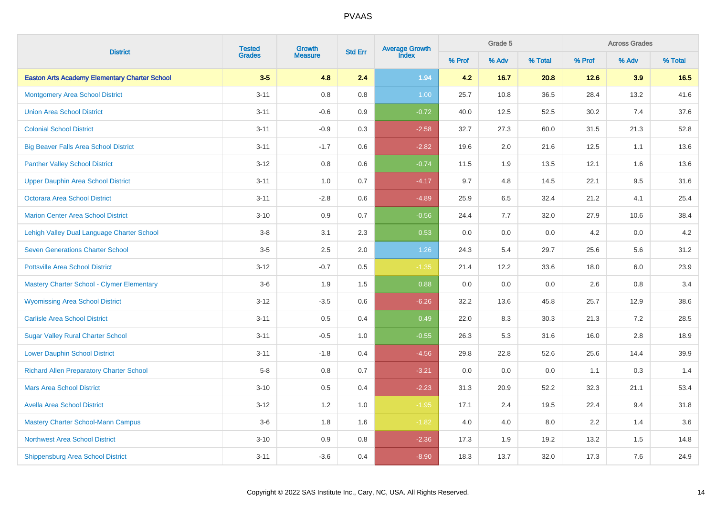| <b>District</b>                                      | <b>Tested</b> | Growth         | <b>Std Err</b> | Average Growth<br>Index |        | Grade 5 |         |        | <b>Across Grades</b><br>% Adv |         |
|------------------------------------------------------|---------------|----------------|----------------|-------------------------|--------|---------|---------|--------|-------------------------------|---------|
|                                                      | <b>Grades</b> | <b>Measure</b> |                |                         | % Prof | % Adv   | % Total | % Prof |                               | % Total |
| <b>Easton Arts Academy Elementary Charter School</b> | $3-5$         | 4.8            | 2.4            | 1.94                    | 4.2    | 16.7    | 20.8    | 12.6   | 3.9                           | 16.5    |
| <b>Montgomery Area School District</b>               | $3 - 11$      | 0.8            | $0.8\,$        | 1.00                    | 25.7   | 10.8    | 36.5    | 28.4   | 13.2                          | 41.6    |
| <b>Union Area School District</b>                    | $3 - 11$      | $-0.6$         | 0.9            | $-0.72$                 | 40.0   | 12.5    | 52.5    | 30.2   | 7.4                           | 37.6    |
| <b>Colonial School District</b>                      | $3 - 11$      | $-0.9$         | $0.3\,$        | $-2.58$                 | 32.7   | 27.3    | 60.0    | 31.5   | 21.3                          | 52.8    |
| <b>Big Beaver Falls Area School District</b>         | $3 - 11$      | $-1.7$         | 0.6            | $-2.82$                 | 19.6   | $2.0\,$ | 21.6    | 12.5   | 1.1                           | 13.6    |
| <b>Panther Valley School District</b>                | $3 - 12$      | $0.8\,$        | $0.6\,$        | $-0.74$                 | 11.5   | 1.9     | 13.5    | 12.1   | 1.6                           | 13.6    |
| <b>Upper Dauphin Area School District</b>            | $3 - 11$      | 1.0            | 0.7            | $-4.17$                 | 9.7    | $4.8\,$ | 14.5    | 22.1   | 9.5                           | 31.6    |
| <b>Octorara Area School District</b>                 | $3 - 11$      | $-2.8$         | 0.6            | $-4.89$                 | 25.9   | 6.5     | 32.4    | 21.2   | 4.1                           | 25.4    |
| <b>Marion Center Area School District</b>            | $3 - 10$      | 0.9            | 0.7            | $-0.56$                 | 24.4   | 7.7     | 32.0    | 27.9   | 10.6                          | 38.4    |
| Lehigh Valley Dual Language Charter School           | $3-8$         | 3.1            | 2.3            | 0.53                    | 0.0    | 0.0     | 0.0     | 4.2    | 0.0                           | 4.2     |
| <b>Seven Generations Charter School</b>              | $3-5$         | $2.5\,$        | $2.0\,$        | 1.26                    | 24.3   | 5.4     | 29.7    | 25.6   | 5.6                           | 31.2    |
| <b>Pottsville Area School District</b>               | $3 - 12$      | $-0.7$         | 0.5            | $-1.35$                 | 21.4   | 12.2    | 33.6    | 18.0   | 6.0                           | 23.9    |
| Mastery Charter School - Clymer Elementary           | $3-6$         | 1.9            | 1.5            | 0.88                    | 0.0    | 0.0     | 0.0     | 2.6    | 0.8                           | 3.4     |
| <b>Wyomissing Area School District</b>               | $3 - 12$      | $-3.5$         | 0.6            | $-6.26$                 | 32.2   | 13.6    | 45.8    | 25.7   | 12.9                          | 38.6    |
| <b>Carlisle Area School District</b>                 | $3 - 11$      | 0.5            | 0.4            | 0.49                    | 22.0   | 8.3     | 30.3    | 21.3   | 7.2                           | 28.5    |
| <b>Sugar Valley Rural Charter School</b>             | $3 - 11$      | $-0.5$         | 1.0            | $-0.55$                 | 26.3   | 5.3     | 31.6    | 16.0   | 2.8                           | 18.9    |
| <b>Lower Dauphin School District</b>                 | $3 - 11$      | $-1.8$         | 0.4            | $-4.56$                 | 29.8   | 22.8    | 52.6    | 25.6   | 14.4                          | 39.9    |
| <b>Richard Allen Preparatory Charter School</b>      | $5-8$         | 0.8            | 0.7            | $-3.21$                 | 0.0    | 0.0     | 0.0     | 1.1    | 0.3                           | 1.4     |
| <b>Mars Area School District</b>                     | $3 - 10$      | $0.5\,$        | 0.4            | $-2.23$                 | 31.3   | 20.9    | 52.2    | 32.3   | 21.1                          | 53.4    |
| <b>Avella Area School District</b>                   | $3 - 12$      | 1.2            | 1.0            | $-1.95$                 | 17.1   | 2.4     | 19.5    | 22.4   | 9.4                           | 31.8    |
| <b>Mastery Charter School-Mann Campus</b>            | $3-6$         | 1.8            | 1.6            | $-1.82$                 | 4.0    | 4.0     | 8.0     | 2.2    | 1.4                           | 3.6     |
| <b>Northwest Area School District</b>                | $3 - 10$      | 0.9            | $0.8\,$        | $-2.36$                 | 17.3   | 1.9     | 19.2    | 13.2   | $1.5\,$                       | 14.8    |
| <b>Shippensburg Area School District</b>             | $3 - 11$      | $-3.6$         | 0.4            | $-8.90$                 | 18.3   | 13.7    | 32.0    | 17.3   | 7.6                           | 24.9    |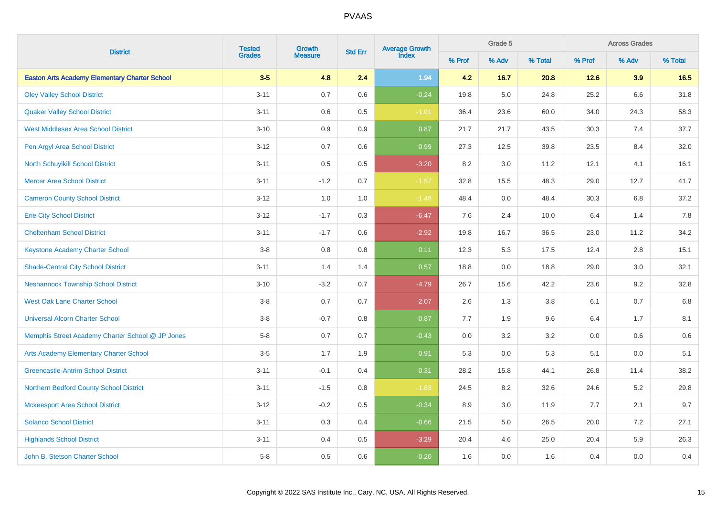|                                                      |                         | Growth         | <b>Std Err</b> | Average Growth<br>Index |        | Grade 5 |         |        | <b>Across Grades</b><br>% Adv |         |
|------------------------------------------------------|-------------------------|----------------|----------------|-------------------------|--------|---------|---------|--------|-------------------------------|---------|
| <b>District</b>                                      | <b>Tested</b><br>Grades | <b>Measure</b> |                |                         | % Prof | % Adv   | % Total | % Prof |                               | % Total |
| <b>Easton Arts Academy Elementary Charter School</b> | $3-5$                   | 4.8            | 2.4            | 1.94                    | 4.2    | 16.7    | 20.8    | 12.6   | 3.9                           | 16.5    |
| <b>Oley Valley School District</b>                   | $3 - 11$                | 0.7            | 0.6            | $-0.24$                 | 19.8   | 5.0     | 24.8    | 25.2   | 6.6                           | 31.8    |
| <b>Quaker Valley School District</b>                 | $3 - 11$                | 0.6            | 0.5            | $-1.01$                 | 36.4   | 23.6    | 60.0    | 34.0   | 24.3                          | 58.3    |
| <b>West Middlesex Area School District</b>           | $3 - 10$                | 0.9            | 0.9            | 0.87                    | 21.7   | 21.7    | 43.5    | 30.3   | 7.4                           | 37.7    |
| Pen Argyl Area School District                       | $3 - 12$                | 0.7            | $0.6\,$        | 0.99                    | 27.3   | 12.5    | 39.8    | 23.5   | 8.4                           | 32.0    |
| North Schuylkill School District                     | $3 - 11$                | 0.5            | $0.5\,$        | $-3.20$                 | 8.2    | 3.0     | 11.2    | 12.1   | 4.1                           | 16.1    |
| <b>Mercer Area School District</b>                   | $3 - 11$                | $-1.2$         | 0.7            | $-1.57$                 | 32.8   | 15.5    | 48.3    | 29.0   | 12.7                          | 41.7    |
| <b>Cameron County School District</b>                | $3-12$                  | 1.0            | $1.0\,$        | $-1.48$                 | 48.4   | 0.0     | 48.4    | 30.3   | 6.8                           | 37.2    |
| <b>Erie City School District</b>                     | $3-12$                  | $-1.7$         | $0.3\,$        | $-6.47$                 | 7.6    | 2.4     | 10.0    | 6.4    | 1.4                           | 7.8     |
| <b>Cheltenham School District</b>                    | $3 - 11$                | $-1.7$         | 0.6            | $-2.92$                 | 19.8   | 16.7    | 36.5    | 23.0   | 11.2                          | 34.2    |
| <b>Keystone Academy Charter School</b>               | $3-8$                   | $0.8\,$        | $0.8\,$        | 0.11                    | 12.3   | 5.3     | 17.5    | 12.4   | 2.8                           | 15.1    |
| <b>Shade-Central City School District</b>            | $3 - 11$                | 1.4            | 1.4            | 0.57                    | 18.8   | 0.0     | 18.8    | 29.0   | $3.0\,$                       | 32.1    |
| <b>Neshannock Township School District</b>           | $3 - 10$                | $-3.2$         | 0.7            | $-4.79$                 | 26.7   | 15.6    | 42.2    | 23.6   | 9.2                           | 32.8    |
| West Oak Lane Charter School                         | $3 - 8$                 | 0.7            | 0.7            | $-2.07$                 | 2.6    | 1.3     | 3.8     | 6.1    | 0.7                           | $6.8\,$ |
| <b>Universal Alcorn Charter School</b>               | $3-8$                   | $-0.7$         | 0.8            | $-0.87$                 | 7.7    | 1.9     | 9.6     | 6.4    | 1.7                           | 8.1     |
| Memphis Street Academy Charter School @ JP Jones     | $5-8$                   | 0.7            | 0.7            | $-0.43$                 | 0.0    | 3.2     | 3.2     | 0.0    | 0.6                           | $0.6\,$ |
| Arts Academy Elementary Charter School               | $3-5$                   | 1.7            | 1.9            | 0.91                    | 5.3    | 0.0     | 5.3     | 5.1    | 0.0                           | 5.1     |
| <b>Greencastle-Antrim School District</b>            | $3 - 11$                | $-0.1$         | 0.4            | $-0.31$                 | 28.2   | 15.8    | 44.1    | 26.8   | 11.4                          | 38.2    |
| Northern Bedford County School District              | $3 - 11$                | $-1.5$         | 0.8            | $-1.83$                 | 24.5   | 8.2     | 32.6    | 24.6   | 5.2                           | 29.8    |
| <b>Mckeesport Area School District</b>               | $3 - 12$                | $-0.2$         | 0.5            | $-0.34$                 | 8.9    | 3.0     | 11.9    | 7.7    | 2.1                           | 9.7     |
| <b>Solanco School District</b>                       | $3 - 11$                | $0.3\,$        | 0.4            | $-0.66$                 | 21.5   | 5.0     | 26.5    | 20.0   | 7.2                           | 27.1    |
| <b>Highlands School District</b>                     | $3 - 11$                | 0.4            | 0.5            | $-3.29$                 | 20.4   | 4.6     | 25.0    | 20.4   | 5.9                           | 26.3    |
| John B. Stetson Charter School                       | $5-8$                   | 0.5            | 0.6            | $-0.20$                 | 1.6    | 0.0     | 1.6     | 0.4    | 0.0                           | 0.4     |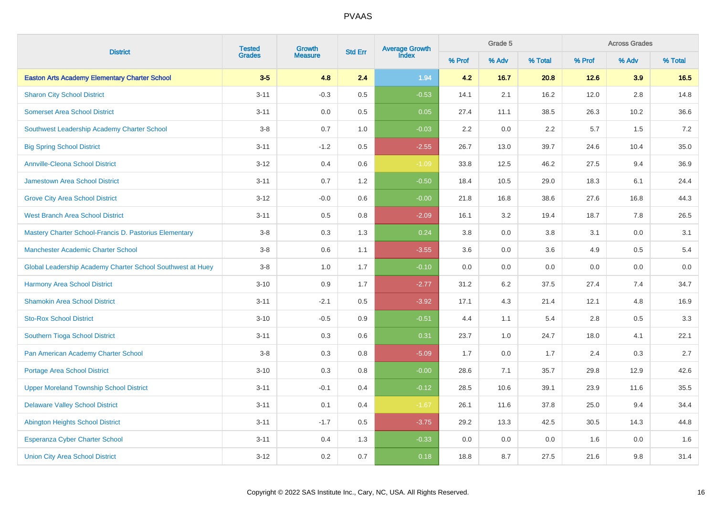| <b>District</b>                                            | <b>Tested</b> | Growth         | <b>Std Err</b> | Average Growth<br>Index |        | Grade 5 |         |        | <b>Across Grades</b> |         |
|------------------------------------------------------------|---------------|----------------|----------------|-------------------------|--------|---------|---------|--------|----------------------|---------|
|                                                            | <b>Grades</b> | <b>Measure</b> |                |                         | % Prof | % Adv   | % Total | % Prof | % Adv                | % Total |
| <b>Easton Arts Academy Elementary Charter School</b>       | $3-5$         | 4.8            | 2.4            | 1.94                    | 4.2    | 16.7    | 20.8    | 12.6   | 3.9                  | 16.5    |
| <b>Sharon City School District</b>                         | $3 - 11$      | $-0.3$         | 0.5            | $-0.53$                 | 14.1   | 2.1     | 16.2    | 12.0   | 2.8                  | 14.8    |
| <b>Somerset Area School District</b>                       | $3 - 11$      | 0.0            | 0.5            | 0.05                    | 27.4   | 11.1    | 38.5    | 26.3   | 10.2                 | 36.6    |
| Southwest Leadership Academy Charter School                | $3-8$         | 0.7            | 1.0            | $-0.03$                 | 2.2    | 0.0     | 2.2     | 5.7    | 1.5                  | $7.2\,$ |
| <b>Big Spring School District</b>                          | $3 - 11$      | $-1.2$         | $0.5\,$        | $-2.55$                 | 26.7   | 13.0    | 39.7    | 24.6   | 10.4                 | 35.0    |
| <b>Annville-Cleona School District</b>                     | $3 - 12$      | 0.4            | 0.6            | $-1.09$                 | 33.8   | 12.5    | 46.2    | 27.5   | 9.4                  | 36.9    |
| <b>Jamestown Area School District</b>                      | $3 - 11$      | 0.7            | 1.2            | $-0.50$                 | 18.4   | 10.5    | 29.0    | 18.3   | 6.1                  | 24.4    |
| <b>Grove City Area School District</b>                     | $3 - 12$      | $-0.0$         | 0.6            | $-0.00$                 | 21.8   | 16.8    | 38.6    | 27.6   | 16.8                 | 44.3    |
| <b>West Branch Area School District</b>                    | $3 - 11$      | 0.5            | 0.8            | $-2.09$                 | 16.1   | 3.2     | 19.4    | 18.7   | 7.8                  | 26.5    |
| Mastery Charter School-Francis D. Pastorius Elementary     | $3-8$         | 0.3            | 1.3            | 0.24                    | 3.8    | 0.0     | 3.8     | 3.1    | 0.0                  | 3.1     |
| <b>Manchester Academic Charter School</b>                  | $3-8$         | 0.6            | 1.1            | $-3.55$                 | 3.6    | 0.0     | 3.6     | 4.9    | 0.5                  | 5.4     |
| Global Leadership Academy Charter School Southwest at Huey | $3-8$         | 1.0            | 1.7            | $-0.10$                 | 0.0    | 0.0     | 0.0     | 0.0    | 0.0                  | 0.0     |
| <b>Harmony Area School District</b>                        | $3 - 10$      | 0.9            | 1.7            | $-2.77$                 | 31.2   | 6.2     | 37.5    | 27.4   | 7.4                  | 34.7    |
| <b>Shamokin Area School District</b>                       | $3 - 11$      | $-2.1$         | 0.5            | $-3.92$                 | 17.1   | 4.3     | 21.4    | 12.1   | 4.8                  | 16.9    |
| <b>Sto-Rox School District</b>                             | $3 - 10$      | $-0.5$         | 0.9            | $-0.51$                 | 4.4    | 1.1     | 5.4     | 2.8    | 0.5                  | 3.3     |
| Southern Tioga School District                             | $3 - 11$      | 0.3            | 0.6            | 0.31                    | 23.7   | 1.0     | 24.7    | 18.0   | 4.1                  | 22.1    |
| Pan American Academy Charter School                        | $3-8$         | 0.3            | 0.8            | $-5.09$                 | 1.7    | 0.0     | 1.7     | 2.4    | 0.3                  | 2.7     |
| <b>Portage Area School District</b>                        | $3 - 10$      | 0.3            | 0.8            | $-0.00$                 | 28.6   | 7.1     | 35.7    | 29.8   | 12.9                 | 42.6    |
| <b>Upper Moreland Township School District</b>             | $3 - 11$      | $-0.1$         | 0.4            | $-0.12$                 | 28.5   | 10.6    | 39.1    | 23.9   | 11.6                 | 35.5    |
| <b>Delaware Valley School District</b>                     | $3 - 11$      | 0.1            | 0.4            | $-1.67$                 | 26.1   | 11.6    | 37.8    | 25.0   | 9.4                  | 34.4    |
| <b>Abington Heights School District</b>                    | $3 - 11$      | $-1.7$         | 0.5            | $-3.75$                 | 29.2   | 13.3    | 42.5    | 30.5   | 14.3                 | 44.8    |
| <b>Esperanza Cyber Charter School</b>                      | $3 - 11$      | 0.4            | 1.3            | $-0.33$                 | 0.0    | 0.0     | 0.0     | 1.6    | 0.0                  | 1.6     |
| <b>Union City Area School District</b>                     | $3 - 12$      | 0.2            | 0.7            | 0.18                    | 18.8   | 8.7     | 27.5    | 21.6   | 9.8                  | 31.4    |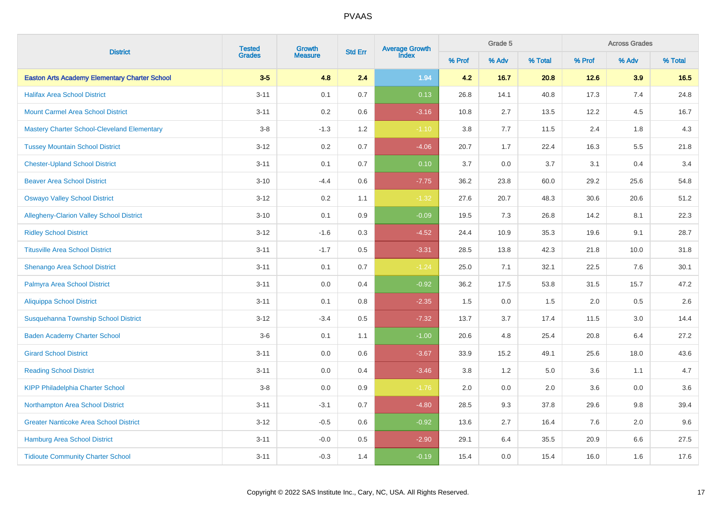|                                                      | <b>Tested</b> | Growth         | <b>Std Err</b> | Average Growth<br>Index |        | Grade 5 |         |        | <b>Across Grades</b><br>% Adv |         |
|------------------------------------------------------|---------------|----------------|----------------|-------------------------|--------|---------|---------|--------|-------------------------------|---------|
| <b>District</b>                                      | <b>Grades</b> | <b>Measure</b> |                |                         | % Prof | % Adv   | % Total | % Prof |                               | % Total |
| <b>Easton Arts Academy Elementary Charter School</b> | $3-5$         | 4.8            | 2.4            | 1.94                    | 4.2    | 16.7    | 20.8    | 12.6   | 3.9                           | 16.5    |
| <b>Halifax Area School District</b>                  | $3 - 11$      | 0.1            | 0.7            | 0.13                    | 26.8   | 14.1    | 40.8    | 17.3   | 7.4                           | 24.8    |
| <b>Mount Carmel Area School District</b>             | $3 - 11$      | $0.2\,$        | 0.6            | $-3.16$                 | 10.8   | 2.7     | 13.5    | 12.2   | 4.5                           | 16.7    |
| <b>Mastery Charter School-Cleveland Elementary</b>   | $3-8$         | $-1.3$         | 1.2            | $-1.10$                 | 3.8    | 7.7     | 11.5    | 2.4    | 1.8                           | 4.3     |
| <b>Tussey Mountain School District</b>               | $3 - 12$      | $0.2\,$        | 0.7            | $-4.06$                 | 20.7   | 1.7     | 22.4    | 16.3   | $5.5\,$                       | 21.8    |
| <b>Chester-Upland School District</b>                | $3 - 11$      | 0.1            | 0.7            | 0.10                    | 3.7    | 0.0     | 3.7     | 3.1    | 0.4                           | 3.4     |
| <b>Beaver Area School District</b>                   | $3 - 10$      | $-4.4$         | $0.6\,$        | $-7.75$                 | 36.2   | 23.8    | 60.0    | 29.2   | 25.6                          | 54.8    |
| <b>Oswayo Valley School District</b>                 | $3 - 12$      | $0.2\,$        | 1.1            | $-1.32$                 | 27.6   | 20.7    | 48.3    | 30.6   | 20.6                          | 51.2    |
| <b>Allegheny-Clarion Valley School District</b>      | $3 - 10$      | 0.1            | 0.9            | $-0.09$                 | 19.5   | 7.3     | 26.8    | 14.2   | 8.1                           | 22.3    |
| <b>Ridley School District</b>                        | $3 - 12$      | $-1.6$         | $0.3\,$        | $-4.52$                 | 24.4   | 10.9    | 35.3    | 19.6   | 9.1                           | 28.7    |
| <b>Titusville Area School District</b>               | $3 - 11$      | $-1.7$         | $0.5\,$        | $-3.31$                 | 28.5   | 13.8    | 42.3    | 21.8   | 10.0                          | 31.8    |
| Shenango Area School District                        | $3 - 11$      | 0.1            | 0.7            | $-1.24$                 | 25.0   | 7.1     | 32.1    | 22.5   | 7.6                           | 30.1    |
| Palmyra Area School District                         | $3 - 11$      | 0.0            | 0.4            | $-0.92$                 | 36.2   | 17.5    | 53.8    | 31.5   | 15.7                          | 47.2    |
| <b>Aliquippa School District</b>                     | $3 - 11$      | 0.1            | 0.8            | $-2.35$                 | 1.5    | 0.0     | 1.5     | 2.0    | 0.5                           | 2.6     |
| <b>Susquehanna Township School District</b>          | $3 - 12$      | $-3.4$         | 0.5            | $-7.32$                 | 13.7   | 3.7     | 17.4    | 11.5   | 3.0                           | 14.4    |
| <b>Baden Academy Charter School</b>                  | $3-6$         | 0.1            | 1.1            | $-1.00$                 | 20.6   | 4.8     | 25.4    | 20.8   | 6.4                           | 27.2    |
| <b>Girard School District</b>                        | $3 - 11$      | 0.0            | 0.6            | $-3.67$                 | 33.9   | 15.2    | 49.1    | 25.6   | 18.0                          | 43.6    |
| <b>Reading School District</b>                       | $3 - 11$      | 0.0            | 0.4            | $-3.46$                 | 3.8    | 1.2     | 5.0     | 3.6    | 1.1                           | 4.7     |
| <b>KIPP Philadelphia Charter School</b>              | $3-8$         | 0.0            | 0.9            | $-1.76$                 | 2.0    | 0.0     | 2.0     | 3.6    | 0.0                           | 3.6     |
| Northampton Area School District                     | $3 - 11$      | $-3.1$         | 0.7            | $-4.80$                 | 28.5   | 9.3     | 37.8    | 29.6   | $9.8\,$                       | 39.4    |
| <b>Greater Nanticoke Area School District</b>        | $3 - 12$      | $-0.5$         | 0.6            | $-0.92$                 | 13.6   | 2.7     | 16.4    | 7.6    | 2.0                           | 9.6     |
| Hamburg Area School District                         | $3 - 11$      | $-0.0$         | $0.5\,$        | $-2.90$                 | 29.1   | 6.4     | 35.5    | 20.9   | $6.6\,$                       | 27.5    |
| <b>Tidioute Community Charter School</b>             | $3 - 11$      | $-0.3$         | 1.4            | $-0.19$                 | 15.4   | 0.0     | 15.4    | 16.0   | 1.6                           | 17.6    |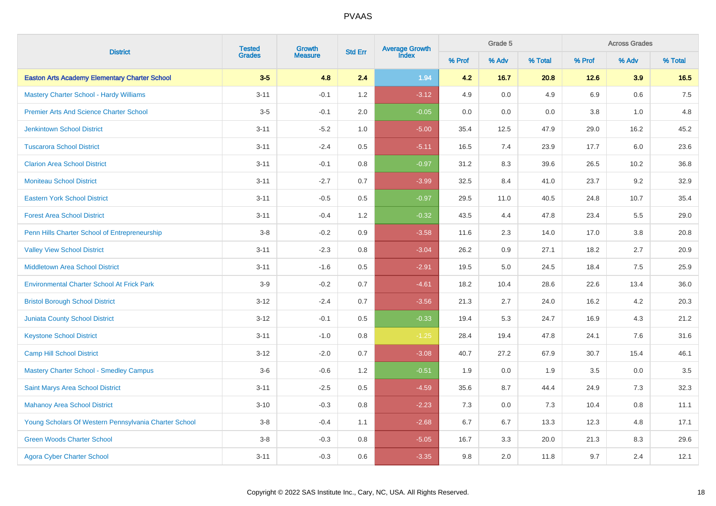| <b>District</b>                                       | <b>Tested</b> | Growth         | <b>Std Err</b> | <b>Average Growth</b><br>Index |        | Grade 5 |         |        | <b>Across Grades</b> |         |
|-------------------------------------------------------|---------------|----------------|----------------|--------------------------------|--------|---------|---------|--------|----------------------|---------|
|                                                       | <b>Grades</b> | <b>Measure</b> |                |                                | % Prof | % Adv   | % Total | % Prof | % Adv                | % Total |
| <b>Easton Arts Academy Elementary Charter School</b>  | $3-5$         | 4.8            | 2.4            | 1.94                           | 4.2    | 16.7    | 20.8    | 12.6   | 3.9                  | 16.5    |
| <b>Mastery Charter School - Hardy Williams</b>        | $3 - 11$      | $-0.1$         | 1.2            | $-3.12$                        | 4.9    | 0.0     | 4.9     | 6.9    | $0.6\,$              | 7.5     |
| <b>Premier Arts And Science Charter School</b>        | $3-5$         | $-0.1$         | $2.0\,$        | $-0.05$                        | 0.0    | 0.0     | 0.0     | 3.8    | 1.0                  | 4.8     |
| <b>Jenkintown School District</b>                     | $3 - 11$      | $-5.2$         | 1.0            | $-5.00$                        | 35.4   | 12.5    | 47.9    | 29.0   | 16.2                 | 45.2    |
| <b>Tuscarora School District</b>                      | $3 - 11$      | $-2.4$         | 0.5            | $-5.11$                        | 16.5   | 7.4     | 23.9    | 17.7   | 6.0                  | 23.6    |
| <b>Clarion Area School District</b>                   | $3 - 11$      | $-0.1$         | 0.8            | $-0.97$                        | 31.2   | 8.3     | 39.6    | 26.5   | 10.2                 | 36.8    |
| <b>Moniteau School District</b>                       | $3 - 11$      | $-2.7$         | 0.7            | $-3.99$                        | 32.5   | 8.4     | 41.0    | 23.7   | 9.2                  | 32.9    |
| <b>Eastern York School District</b>                   | $3 - 11$      | $-0.5$         | 0.5            | $-0.97$                        | 29.5   | 11.0    | 40.5    | 24.8   | 10.7                 | 35.4    |
| <b>Forest Area School District</b>                    | $3 - 11$      | $-0.4$         | 1.2            | $-0.32$                        | 43.5   | 4.4     | 47.8    | 23.4   | 5.5                  | 29.0    |
| Penn Hills Charter School of Entrepreneurship         | $3-8$         | $-0.2$         | 0.9            | $-3.58$                        | 11.6   | 2.3     | 14.0    | 17.0   | 3.8                  | 20.8    |
| <b>Valley View School District</b>                    | $3 - 11$      | $-2.3$         | 0.8            | $-3.04$                        | 26.2   | 0.9     | 27.1    | 18.2   | 2.7                  | 20.9    |
| <b>Middletown Area School District</b>                | $3 - 11$      | $-1.6$         | 0.5            | $-2.91$                        | 19.5   | 5.0     | 24.5    | 18.4   | 7.5                  | 25.9    |
| <b>Environmental Charter School At Frick Park</b>     | $3-9$         | $-0.2$         | 0.7            | $-4.61$                        | 18.2   | 10.4    | 28.6    | 22.6   | 13.4                 | 36.0    |
| <b>Bristol Borough School District</b>                | $3 - 12$      | $-2.4$         | 0.7            | $-3.56$                        | 21.3   | 2.7     | 24.0    | 16.2   | 4.2                  | 20.3    |
| <b>Juniata County School District</b>                 | $3 - 12$      | $-0.1$         | 0.5            | $-0.33$                        | 19.4   | 5.3     | 24.7    | 16.9   | 4.3                  | 21.2    |
| <b>Keystone School District</b>                       | $3 - 11$      | $-1.0$         | 0.8            | $-1.25$                        | 28.4   | 19.4    | 47.8    | 24.1   | 7.6                  | 31.6    |
| <b>Camp Hill School District</b>                      | $3 - 12$      | $-2.0$         | 0.7            | $-3.08$                        | 40.7   | 27.2    | 67.9    | 30.7   | 15.4                 | 46.1    |
| <b>Mastery Charter School - Smedley Campus</b>        | $3-6$         | $-0.6$         | 1.2            | $-0.51$                        | 1.9    | 0.0     | 1.9     | 3.5    | 0.0                  | 3.5     |
| <b>Saint Marys Area School District</b>               | $3 - 11$      | $-2.5$         | 0.5            | $-4.59$                        | 35.6   | 8.7     | 44.4    | 24.9   | 7.3                  | 32.3    |
| <b>Mahanoy Area School District</b>                   | $3 - 10$      | $-0.3$         | 0.8            | $-2.23$                        | 7.3    | 0.0     | 7.3     | 10.4   | 0.8                  | 11.1    |
| Young Scholars Of Western Pennsylvania Charter School | $3-8$         | $-0.4$         | 1.1            | $-2.68$                        | 6.7    | 6.7     | 13.3    | 12.3   | 4.8                  | 17.1    |
| <b>Green Woods Charter School</b>                     | $3-8$         | $-0.3$         | 0.8            | $-5.05$                        | 16.7   | 3.3     | 20.0    | 21.3   | 8.3                  | 29.6    |
| <b>Agora Cyber Charter School</b>                     | $3 - 11$      | $-0.3$         | 0.6            | $-3.35$                        | 9.8    | 2.0     | 11.8    | 9.7    | 2.4                  | 12.1    |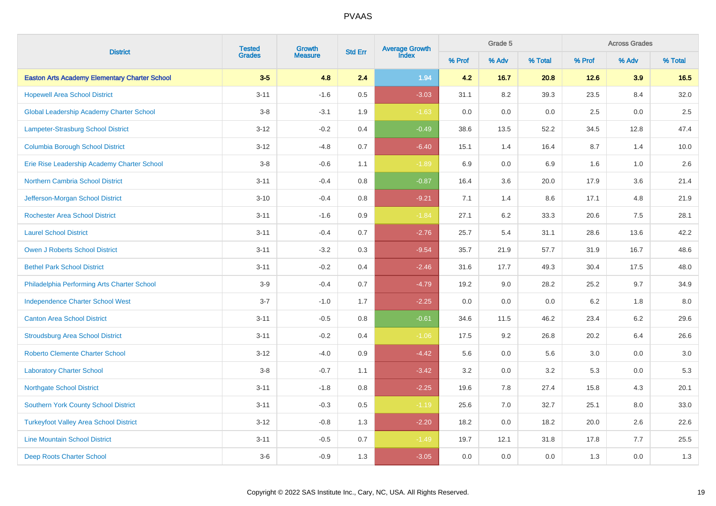| <b>District</b>                                      | <b>Tested</b> | Growth         | <b>Std Err</b> | Average Growth<br>Index |        | Grade 5 |         |        | <b>Across Grades</b> |         |
|------------------------------------------------------|---------------|----------------|----------------|-------------------------|--------|---------|---------|--------|----------------------|---------|
|                                                      | <b>Grades</b> | <b>Measure</b> |                |                         | % Prof | % Adv   | % Total | % Prof | % Adv                | % Total |
| <b>Easton Arts Academy Elementary Charter School</b> | $3-5$         | 4.8            | 2.4            | 1.94                    | 4.2    | 16.7    | 20.8    | 12.6   | 3.9                  | 16.5    |
| <b>Hopewell Area School District</b>                 | $3 - 11$      | $-1.6$         | 0.5            | $-3.03$                 | 31.1   | 8.2     | 39.3    | 23.5   | 8.4                  | 32.0    |
| <b>Global Leadership Academy Charter School</b>      | $3-8$         | $-3.1$         | 1.9            | $-1.63$                 | 0.0    | 0.0     | 0.0     | 2.5    | 0.0                  | 2.5     |
| Lampeter-Strasburg School District                   | $3 - 12$      | $-0.2$         | 0.4            | $-0.49$                 | 38.6   | 13.5    | 52.2    | 34.5   | 12.8                 | 47.4    |
| <b>Columbia Borough School District</b>              | $3 - 12$      | $-4.8$         | 0.7            | $-6.40$                 | 15.1   | 1.4     | 16.4    | 8.7    | 1.4                  | 10.0    |
| Erie Rise Leadership Academy Charter School          | $3 - 8$       | $-0.6$         | 1.1            | $-1.89$                 | 6.9    | 0.0     | 6.9     | 1.6    | 1.0                  | 2.6     |
| <b>Northern Cambria School District</b>              | $3 - 11$      | $-0.4$         | $0.8\,$        | $-0.87$                 | 16.4   | 3.6     | 20.0    | 17.9   | 3.6                  | 21.4    |
| Jefferson-Morgan School District                     | $3 - 10$      | $-0.4$         | $0.8\,$        | $-9.21$                 | 7.1    | 1.4     | 8.6     | 17.1   | 4.8                  | 21.9    |
| <b>Rochester Area School District</b>                | $3 - 11$      | $-1.6$         | 0.9            | $-1.84$                 | 27.1   | 6.2     | 33.3    | 20.6   | 7.5                  | 28.1    |
| <b>Laurel School District</b>                        | $3 - 11$      | $-0.4$         | 0.7            | $-2.76$                 | 25.7   | 5.4     | 31.1    | 28.6   | 13.6                 | 42.2    |
| <b>Owen J Roberts School District</b>                | $3 - 11$      | $-3.2$         | 0.3            | $-9.54$                 | 35.7   | 21.9    | 57.7    | 31.9   | 16.7                 | 48.6    |
| <b>Bethel Park School District</b>                   | $3 - 11$      | $-0.2$         | 0.4            | $-2.46$                 | 31.6   | 17.7    | 49.3    | 30.4   | 17.5                 | 48.0    |
| Philadelphia Performing Arts Charter School          | $3-9$         | $-0.4$         | 0.7            | $-4.79$                 | 19.2   | 9.0     | 28.2    | 25.2   | 9.7                  | 34.9    |
| <b>Independence Charter School West</b>              | $3 - 7$       | $-1.0$         | 1.7            | $-2.25$                 | 0.0    | 0.0     | 0.0     | 6.2    | 1.8                  | $8.0\,$ |
| <b>Canton Area School District</b>                   | $3 - 11$      | $-0.5$         | 0.8            | $-0.61$                 | 34.6   | 11.5    | 46.2    | 23.4   | 6.2                  | 29.6    |
| <b>Stroudsburg Area School District</b>              | $3 - 11$      | $-0.2$         | 0.4            | $-1.06$                 | 17.5   | 9.2     | 26.8    | 20.2   | 6.4                  | 26.6    |
| <b>Roberto Clemente Charter School</b>               | $3 - 12$      | $-4.0$         | 0.9            | $-4.42$                 | 5.6    | 0.0     | 5.6     | 3.0    | 0.0                  | 3.0     |
| <b>Laboratory Charter School</b>                     | $3-8$         | $-0.7$         | 1.1            | $-3.42$                 | 3.2    | 0.0     | 3.2     | 5.3    | 0.0                  | 5.3     |
| <b>Northgate School District</b>                     | $3 - 11$      | $-1.8$         | 0.8            | $-2.25$                 | 19.6   | 7.8     | 27.4    | 15.8   | 4.3                  | 20.1    |
| <b>Southern York County School District</b>          | $3 - 11$      | $-0.3$         | 0.5            | $-1.19$                 | 25.6   | 7.0     | 32.7    | 25.1   | 8.0                  | 33.0    |
| <b>Turkeyfoot Valley Area School District</b>        | $3 - 12$      | $-0.8$         | 1.3            | $-2.20$                 | 18.2   | 0.0     | 18.2    | 20.0   | 2.6                  | 22.6    |
| <b>Line Mountain School District</b>                 | $3 - 11$      | $-0.5$         | 0.7            | $-1.49$                 | 19.7   | 12.1    | 31.8    | 17.8   | 7.7                  | 25.5    |
| Deep Roots Charter School                            | $3-6$         | $-0.9$         | 1.3            | $-3.05$                 | 0.0    | 0.0     | 0.0     | 1.3    | 0.0                  | 1.3     |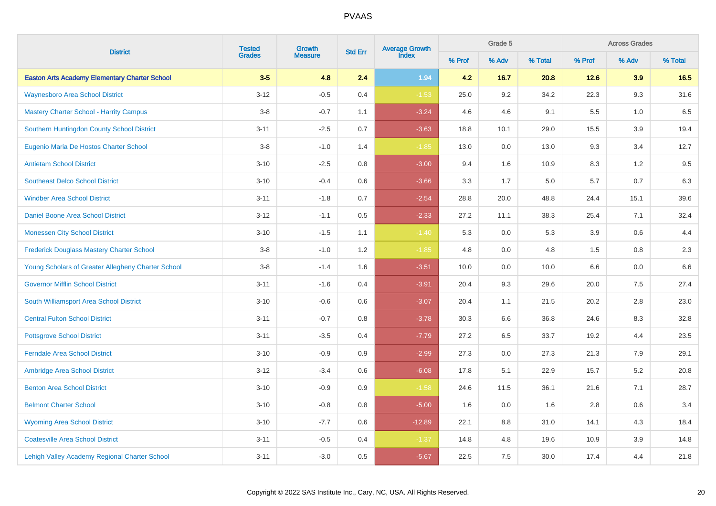|                                                      | <b>Tested</b> | Growth         | <b>Std Err</b> | Average Growth<br>Index |        | Grade 5 |         | <b>Across Grades</b> |         |         |  |
|------------------------------------------------------|---------------|----------------|----------------|-------------------------|--------|---------|---------|----------------------|---------|---------|--|
| <b>District</b>                                      | <b>Grades</b> | <b>Measure</b> |                |                         | % Prof | % Adv   | % Total | % Prof               | % Adv   | % Total |  |
| <b>Easton Arts Academy Elementary Charter School</b> | $3-5$         | 4.8            | 2.4            | 1.94                    | 4.2    | $16.7$  | 20.8    | 12.6                 | 3.9     | 16.5    |  |
| <b>Waynesboro Area School District</b>               | $3 - 12$      | $-0.5$         | 0.4            | $-1.53$                 | 25.0   | 9.2     | 34.2    | 22.3                 | 9.3     | 31.6    |  |
| <b>Mastery Charter School - Harrity Campus</b>       | $3-8$         | $-0.7$         | 1.1            | $-3.24$                 | 4.6    | 4.6     | 9.1     | 5.5                  | 1.0     | 6.5     |  |
| Southern Huntingdon County School District           | $3 - 11$      | $-2.5$         | 0.7            | $-3.63$                 | 18.8   | 10.1    | 29.0    | 15.5                 | 3.9     | 19.4    |  |
| Eugenio Maria De Hostos Charter School               | $3-8$         | $-1.0$         | 1.4            | $-1.85$                 | 13.0   | 0.0     | 13.0    | 9.3                  | 3.4     | 12.7    |  |
| <b>Antietam School District</b>                      | $3 - 10$      | $-2.5$         | 0.8            | $-3.00$                 | 9.4    | 1.6     | 10.9    | 8.3                  | $1.2\,$ | $9.5\,$ |  |
| <b>Southeast Delco School District</b>               | $3 - 10$      | $-0.4$         | 0.6            | $-3.66$                 | 3.3    | 1.7     | 5.0     | 5.7                  | 0.7     | 6.3     |  |
| <b>Windber Area School District</b>                  | $3 - 11$      | $-1.8$         | 0.7            | $-2.54$                 | 28.8   | 20.0    | 48.8    | 24.4                 | 15.1    | 39.6    |  |
| Daniel Boone Area School District                    | $3 - 12$      | $-1.1$         | $0.5\,$        | $-2.33$                 | 27.2   | 11.1    | 38.3    | 25.4                 | 7.1     | 32.4    |  |
| <b>Monessen City School District</b>                 | $3 - 10$      | $-1.5$         | 1.1            | $-1.40$                 | 5.3    | 0.0     | 5.3     | 3.9                  | 0.6     | 4.4     |  |
| <b>Frederick Douglass Mastery Charter School</b>     | $3-8$         | $-1.0$         | 1.2            | $-1.85$                 | 4.8    | 0.0     | 4.8     | 1.5                  | 0.8     | $2.3\,$ |  |
| Young Scholars of Greater Allegheny Charter School   | $3 - 8$       | $-1.4$         | $1.6\,$        | $-3.51$                 | 10.0   | 0.0     | 10.0    | 6.6                  | $0.0\,$ | $6.6\,$ |  |
| <b>Governor Mifflin School District</b>              | $3 - 11$      | $-1.6$         | 0.4            | $-3.91$                 | 20.4   | 9.3     | 29.6    | 20.0                 | $7.5\,$ | 27.4    |  |
| South Williamsport Area School District              | $3 - 10$      | $-0.6$         | 0.6            | $-3.07$                 | 20.4   | 1.1     | 21.5    | 20.2                 | $2.8\,$ | 23.0    |  |
| <b>Central Fulton School District</b>                | $3 - 11$      | $-0.7$         | $0.8\,$        | $-3.78$                 | 30.3   | 6.6     | 36.8    | 24.6                 | $8.3\,$ | 32.8    |  |
| <b>Pottsgrove School District</b>                    | $3 - 11$      | $-3.5$         | 0.4            | $-7.79$                 | 27.2   | $6.5\,$ | 33.7    | 19.2                 | 4.4     | 23.5    |  |
| <b>Ferndale Area School District</b>                 | $3 - 10$      | $-0.9$         | $0.9\,$        | $-2.99$                 | 27.3   | 0.0     | 27.3    | 21.3                 | 7.9     | 29.1    |  |
| Ambridge Area School District                        | $3 - 12$      | $-3.4$         | 0.6            | $-6.08$                 | 17.8   | 5.1     | 22.9    | 15.7                 | $5.2\,$ | 20.8    |  |
| <b>Benton Area School District</b>                   | $3 - 10$      | $-0.9$         | 0.9            | $-1.58$                 | 24.6   | 11.5    | 36.1    | 21.6                 | 7.1     | 28.7    |  |
| <b>Belmont Charter School</b>                        | $3 - 10$      | $-0.8$         | $0.8\,$        | $-5.00$                 | 1.6    | 0.0     | 1.6     | 2.8                  | 0.6     | 3.4     |  |
| <b>Wyoming Area School District</b>                  | $3 - 10$      | $-7.7$         | 0.6            | $-12.89$                | 22.1   | 8.8     | 31.0    | 14.1                 | 4.3     | 18.4    |  |
| <b>Coatesville Area School District</b>              | $3 - 11$      | $-0.5$         | 0.4            | $-1.37$                 | 14.8   | 4.8     | 19.6    | 10.9                 | 3.9     | 14.8    |  |
| Lehigh Valley Academy Regional Charter School        | $3 - 11$      | $-3.0$         | 0.5            | $-5.67$                 | 22.5   | 7.5     | 30.0    | 17.4                 | 4.4     | 21.8    |  |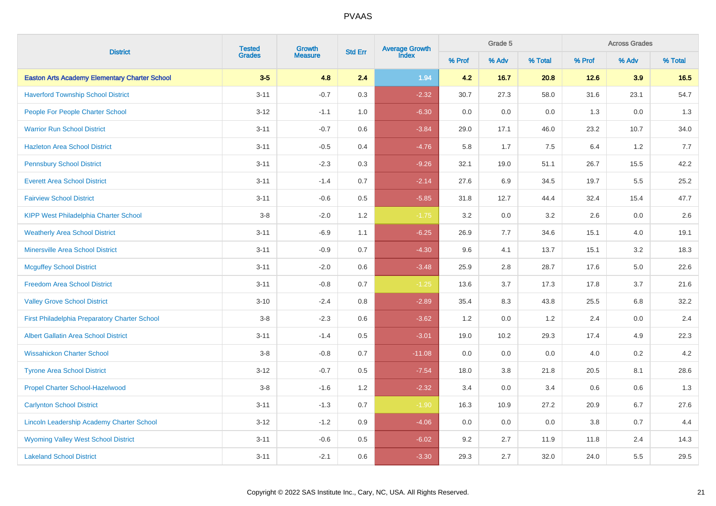| <b>District</b>                                      | <b>Tested</b> | Growth         | <b>Std Err</b> | <b>Average Growth</b><br>Index |        | Grade 5 |         |        | <b>Across Grades</b><br>% Adv |         |
|------------------------------------------------------|---------------|----------------|----------------|--------------------------------|--------|---------|---------|--------|-------------------------------|---------|
|                                                      | <b>Grades</b> | <b>Measure</b> |                |                                | % Prof | % Adv   | % Total | % Prof |                               | % Total |
| <b>Easton Arts Academy Elementary Charter School</b> | $3-5$         | 4.8            | 2.4            | 1.94                           | 4.2    | 16.7    | 20.8    | 12.6   | 3.9                           | 16.5    |
| <b>Haverford Township School District</b>            | $3 - 11$      | $-0.7$         | 0.3            | $-2.32$                        | 30.7   | 27.3    | 58.0    | 31.6   | 23.1                          | 54.7    |
| <b>People For People Charter School</b>              | $3-12$        | $-1.1$         | 1.0            | $-6.30$                        | 0.0    | 0.0     | 0.0     | 1.3    | $0.0\,$                       | 1.3     |
| <b>Warrior Run School District</b>                   | $3 - 11$      | $-0.7$         | 0.6            | $-3.84$                        | 29.0   | 17.1    | 46.0    | 23.2   | 10.7                          | 34.0    |
| <b>Hazleton Area School District</b>                 | $3 - 11$      | $-0.5$         | 0.4            | $-4.76$                        | 5.8    | 1.7     | 7.5     | 6.4    | 1.2                           | 7.7     |
| <b>Pennsbury School District</b>                     | $3 - 11$      | $-2.3$         | $0.3\,$        | $-9.26$                        | 32.1   | 19.0    | 51.1    | 26.7   | 15.5                          | 42.2    |
| <b>Everett Area School District</b>                  | $3 - 11$      | $-1.4$         | 0.7            | $-2.14$                        | 27.6   | 6.9     | 34.5    | 19.7   | 5.5                           | 25.2    |
| <b>Fairview School District</b>                      | $3 - 11$      | $-0.6$         | 0.5            | $-5.85$                        | 31.8   | 12.7    | 44.4    | 32.4   | 15.4                          | 47.7    |
| <b>KIPP West Philadelphia Charter School</b>         | $3-8$         | $-2.0$         | 1.2            | $-1.75$                        | 3.2    | 0.0     | 3.2     | 2.6    | 0.0                           | 2.6     |
| <b>Weatherly Area School District</b>                | $3 - 11$      | $-6.9$         | 1.1            | $-6.25$                        | 26.9   | 7.7     | 34.6    | 15.1   | 4.0                           | 19.1    |
| <b>Minersville Area School District</b>              | $3 - 11$      | $-0.9$         | 0.7            | $-4.30$                        | 9.6    | 4.1     | 13.7    | 15.1   | 3.2                           | 18.3    |
| <b>Mcguffey School District</b>                      | $3 - 11$      | $-2.0$         | 0.6            | $-3.48$                        | 25.9   | 2.8     | 28.7    | 17.6   | 5.0                           | 22.6    |
| <b>Freedom Area School District</b>                  | $3 - 11$      | $-0.8$         | 0.7            | $-1.25$                        | 13.6   | 3.7     | 17.3    | 17.8   | 3.7                           | 21.6    |
| <b>Valley Grove School District</b>                  | $3 - 10$      | $-2.4$         | 0.8            | $-2.89$                        | 35.4   | 8.3     | 43.8    | 25.5   | 6.8                           | 32.2    |
| First Philadelphia Preparatory Charter School        | $3-8$         | $-2.3$         | 0.6            | $-3.62$                        | 1.2    | 0.0     | 1.2     | 2.4    | 0.0                           | 2.4     |
| <b>Albert Gallatin Area School District</b>          | $3 - 11$      | $-1.4$         | 0.5            | $-3.01$                        | 19.0   | 10.2    | 29.3    | 17.4   | 4.9                           | 22.3    |
| <b>Wissahickon Charter School</b>                    | $3-8$         | $-0.8$         | 0.7            | $-11.08$                       | 0.0    | 0.0     | 0.0     | 4.0    | 0.2                           | 4.2     |
| <b>Tyrone Area School District</b>                   | $3 - 12$      | $-0.7$         | 0.5            | $-7.54$                        | 18.0   | 3.8     | 21.8    | 20.5   | 8.1                           | 28.6    |
| <b>Propel Charter School-Hazelwood</b>               | $3-8$         | $-1.6$         | 1.2            | $-2.32$                        | 3.4    | 0.0     | 3.4     | 0.6    | 0.6                           | 1.3     |
| <b>Carlynton School District</b>                     | $3 - 11$      | $-1.3$         | 0.7            | $-1.90$                        | 16.3   | 10.9    | 27.2    | 20.9   | 6.7                           | 27.6    |
| <b>Lincoln Leadership Academy Charter School</b>     | $3 - 12$      | $-1.2$         | 0.9            | $-4.06$                        | 0.0    | 0.0     | 0.0     | 3.8    | 0.7                           | 4.4     |
| <b>Wyoming Valley West School District</b>           | $3 - 11$      | $-0.6$         | 0.5            | $-6.02$                        | 9.2    | 2.7     | 11.9    | 11.8   | 2.4                           | 14.3    |
| <b>Lakeland School District</b>                      | $3 - 11$      | $-2.1$         | 0.6            | $-3.30$                        | 29.3   | 2.7     | 32.0    | 24.0   | 5.5                           | 29.5    |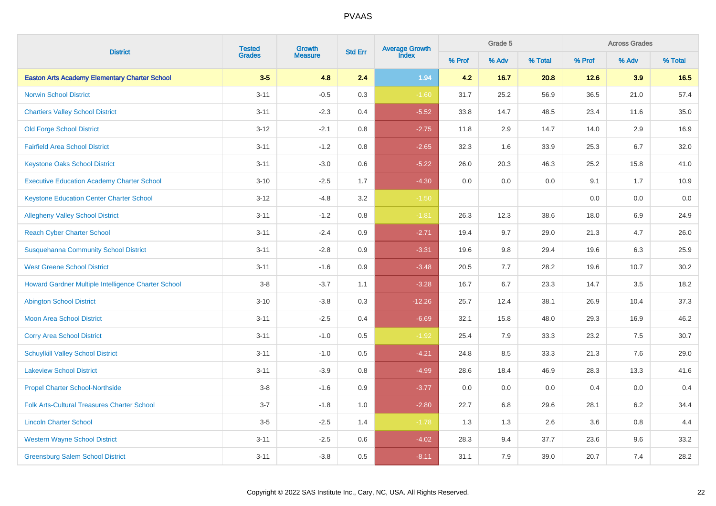|                                                      | <b>Tested</b> | Growth         | <b>Std Err</b> | Average Growth<br>Index |        | Grade 5 |         |        | <b>Across Grades</b> |         |
|------------------------------------------------------|---------------|----------------|----------------|-------------------------|--------|---------|---------|--------|----------------------|---------|
| <b>District</b>                                      | <b>Grades</b> | <b>Measure</b> |                |                         | % Prof | % Adv   | % Total | % Prof | % Adv                | % Total |
| <b>Easton Arts Academy Elementary Charter School</b> | $3-5$         | 4.8            | 2.4            | 1.94                    | 4.2    | 16.7    | 20.8    | 12.6   | 3.9                  | 16.5    |
| <b>Norwin School District</b>                        | $3 - 11$      | $-0.5$         | 0.3            | $-1.60$                 | 31.7   | 25.2    | 56.9    | 36.5   | 21.0                 | 57.4    |
| <b>Chartiers Valley School District</b>              | $3 - 11$      | $-2.3$         | 0.4            | $-5.52$                 | 33.8   | 14.7    | 48.5    | 23.4   | 11.6                 | 35.0    |
| <b>Old Forge School District</b>                     | $3 - 12$      | $-2.1$         | 0.8            | $-2.75$                 | 11.8   | 2.9     | 14.7    | 14.0   | 2.9                  | 16.9    |
| <b>Fairfield Area School District</b>                | $3 - 11$      | $-1.2$         | $0.8\,$        | $-2.65$                 | 32.3   | 1.6     | 33.9    | 25.3   | 6.7                  | 32.0    |
| <b>Keystone Oaks School District</b>                 | $3 - 11$      | $-3.0$         | $0.6\,$        | $-5.22$                 | 26.0   | 20.3    | 46.3    | 25.2   | 15.8                 | 41.0    |
| <b>Executive Education Academy Charter School</b>    | $3 - 10$      | $-2.5$         | 1.7            | $-4.30$                 | 0.0    | 0.0     | 0.0     | 9.1    | 1.7                  | 10.9    |
| <b>Keystone Education Center Charter School</b>      | $3 - 12$      | $-4.8$         | $3.2\,$        | $-1.50$                 |        |         |         | 0.0    | 0.0                  | $0.0\,$ |
| <b>Allegheny Valley School District</b>              | $3 - 11$      | $-1.2$         | 0.8            | $-1.81$                 | 26.3   | 12.3    | 38.6    | 18.0   | 6.9                  | 24.9    |
| <b>Reach Cyber Charter School</b>                    | $3 - 11$      | $-2.4$         | 0.9            | $-2.71$                 | 19.4   | 9.7     | 29.0    | 21.3   | 4.7                  | 26.0    |
| <b>Susquehanna Community School District</b>         | $3 - 11$      | $-2.8$         | 0.9            | $-3.31$                 | 19.6   | $9.8\,$ | 29.4    | 19.6   | 6.3                  | 25.9    |
| <b>West Greene School District</b>                   | $3 - 11$      | $-1.6$         | 0.9            | $-3.48$                 | 20.5   | 7.7     | 28.2    | 19.6   | 10.7                 | 30.2    |
| Howard Gardner Multiple Intelligence Charter School  | $3 - 8$       | $-3.7$         | 1.1            | $-3.28$                 | 16.7   | 6.7     | 23.3    | 14.7   | 3.5                  | 18.2    |
| <b>Abington School District</b>                      | $3 - 10$      | $-3.8$         | $0.3\,$        | $-12.26$                | 25.7   | 12.4    | 38.1    | 26.9   | 10.4                 | 37.3    |
| <b>Moon Area School District</b>                     | $3 - 11$      | $-2.5$         | 0.4            | $-6.69$                 | 32.1   | 15.8    | 48.0    | 29.3   | 16.9                 | 46.2    |
| <b>Corry Area School District</b>                    | $3 - 11$      | $-1.0$         | 0.5            | $-1.92$                 | 25.4   | 7.9     | 33.3    | 23.2   | 7.5                  | 30.7    |
| <b>Schuylkill Valley School District</b>             | $3 - 11$      | $-1.0$         | 0.5            | $-4.21$                 | 24.8   | 8.5     | 33.3    | 21.3   | 7.6                  | 29.0    |
| <b>Lakeview School District</b>                      | $3 - 11$      | $-3.9$         | 0.8            | $-4.99$                 | 28.6   | 18.4    | 46.9    | 28.3   | 13.3                 | 41.6    |
| <b>Propel Charter School-Northside</b>               | $3-8$         | $-1.6$         | 0.9            | $-3.77$                 | 0.0    | $0.0\,$ | 0.0     | 0.4    | $0.0\,$              | 0.4     |
| <b>Folk Arts-Cultural Treasures Charter School</b>   | $3 - 7$       | $-1.8$         | $1.0\,$        | $-2.80$                 | 22.7   | $6.8\,$ | 29.6    | 28.1   | $6.2\,$              | 34.4    |
| <b>Lincoln Charter School</b>                        | $3-5$         | $-2.5$         | 1.4            | $-1.78$                 | 1.3    | 1.3     | 2.6     | 3.6    | $0.8\,$              | 4.4     |
| <b>Western Wayne School District</b>                 | $3 - 11$      | $-2.5$         | 0.6            | $-4.02$                 | 28.3   | 9.4     | 37.7    | 23.6   | 9.6                  | 33.2    |
| <b>Greensburg Salem School District</b>              | $3 - 11$      | $-3.8$         | 0.5            | $-8.11$                 | 31.1   | 7.9     | 39.0    | 20.7   | 7.4                  | 28.2    |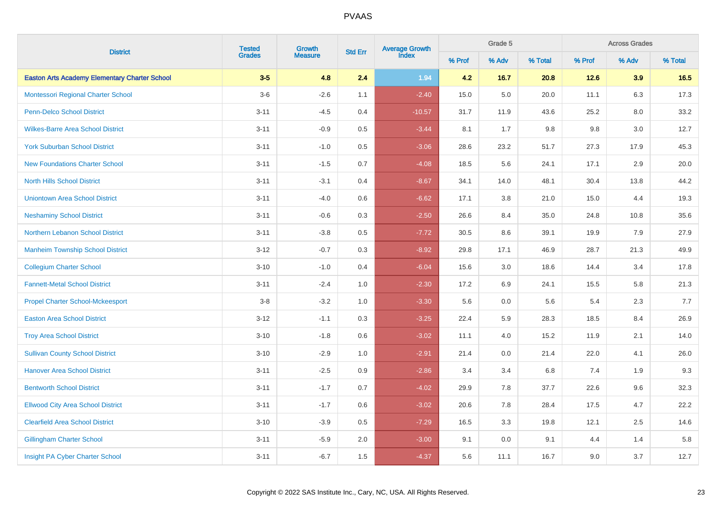| <b>District</b>                                      | <b>Tested</b> | Growth         | <b>Std Err</b> | <b>Average Growth</b><br>Index |        | Grade 5 |         |        | <b>Across Grades</b><br>% Adv |         |
|------------------------------------------------------|---------------|----------------|----------------|--------------------------------|--------|---------|---------|--------|-------------------------------|---------|
|                                                      | <b>Grades</b> | <b>Measure</b> |                |                                | % Prof | % Adv   | % Total | % Prof |                               | % Total |
| <b>Easton Arts Academy Elementary Charter School</b> | $3-5$         | 4.8            | 2.4            | 1.94                           | 4.2    | 16.7    | 20.8    | 12.6   | 3.9                           | 16.5    |
| Montessori Regional Charter School                   | $3-6$         | $-2.6$         | 1.1            | $-2.40$                        | 15.0   | 5.0     | 20.0    | 11.1   | 6.3                           | 17.3    |
| <b>Penn-Delco School District</b>                    | $3 - 11$      | $-4.5$         | 0.4            | $-10.57$                       | 31.7   | 11.9    | 43.6    | 25.2   | $8.0\,$                       | 33.2    |
| <b>Wilkes-Barre Area School District</b>             | $3 - 11$      | $-0.9$         | 0.5            | $-3.44$                        | 8.1    | 1.7     | 9.8     | 9.8    | 3.0                           | 12.7    |
| <b>York Suburban School District</b>                 | $3 - 11$      | $-1.0$         | 0.5            | $-3.06$                        | 28.6   | 23.2    | 51.7    | 27.3   | 17.9                          | 45.3    |
| <b>New Foundations Charter School</b>                | $3 - 11$      | $-1.5$         | 0.7            | $-4.08$                        | 18.5   | 5.6     | 24.1    | 17.1   | $2.9\,$                       | 20.0    |
| <b>North Hills School District</b>                   | $3 - 11$      | $-3.1$         | 0.4            | $-8.67$                        | 34.1   | 14.0    | 48.1    | 30.4   | 13.8                          | 44.2    |
| <b>Uniontown Area School District</b>                | $3 - 11$      | $-4.0$         | 0.6            | $-6.62$                        | 17.1   | 3.8     | 21.0    | 15.0   | 4.4                           | 19.3    |
| <b>Neshaminy School District</b>                     | $3 - 11$      | $-0.6$         | 0.3            | $-2.50$                        | 26.6   | 8.4     | 35.0    | 24.8   | 10.8                          | 35.6    |
| Northern Lebanon School District                     | $3 - 11$      | $-3.8$         | 0.5            | $-7.72$                        | 30.5   | 8.6     | 39.1    | 19.9   | 7.9                           | 27.9    |
| <b>Manheim Township School District</b>              | $3 - 12$      | $-0.7$         | 0.3            | $-8.92$                        | 29.8   | 17.1    | 46.9    | 28.7   | 21.3                          | 49.9    |
| <b>Collegium Charter School</b>                      | $3 - 10$      | $-1.0$         | 0.4            | $-6.04$                        | 15.6   | 3.0     | 18.6    | 14.4   | 3.4                           | 17.8    |
| <b>Fannett-Metal School District</b>                 | $3 - 11$      | $-2.4$         | 1.0            | $-2.30$                        | 17.2   | 6.9     | 24.1    | 15.5   | 5.8                           | 21.3    |
| <b>Propel Charter School-Mckeesport</b>              | $3-8$         | $-3.2$         | 1.0            | $-3.30$                        | 5.6    | 0.0     | 5.6     | 5.4    | 2.3                           | 7.7     |
| <b>Easton Area School District</b>                   | $3 - 12$      | $-1.1$         | 0.3            | $-3.25$                        | 22.4   | 5.9     | 28.3    | 18.5   | 8.4                           | 26.9    |
| <b>Troy Area School District</b>                     | $3 - 10$      | $-1.8$         | 0.6            | $-3.02$                        | 11.1   | 4.0     | 15.2    | 11.9   | 2.1                           | 14.0    |
| <b>Sullivan County School District</b>               | $3 - 10$      | $-2.9$         | 1.0            | $-2.91$                        | 21.4   | 0.0     | 21.4    | 22.0   | 4.1                           | 26.0    |
| <b>Hanover Area School District</b>                  | $3 - 11$      | $-2.5$         | 0.9            | $-2.86$                        | 3.4    | 3.4     | 6.8     | 7.4    | 1.9                           | 9.3     |
| <b>Bentworth School District</b>                     | $3 - 11$      | $-1.7$         | 0.7            | $-4.02$                        | 29.9   | 7.8     | 37.7    | 22.6   | 9.6                           | 32.3    |
| <b>Ellwood City Area School District</b>             | $3 - 11$      | $-1.7$         | 0.6            | $-3.02$                        | 20.6   | 7.8     | 28.4    | 17.5   | 4.7                           | 22.2    |
| <b>Clearfield Area School District</b>               | $3 - 10$      | $-3.9$         | 0.5            | $-7.29$                        | 16.5   | 3.3     | 19.8    | 12.1   | 2.5                           | 14.6    |
| <b>Gillingham Charter School</b>                     | $3 - 11$      | $-5.9$         | 2.0            | $-3.00$                        | 9.1    | 0.0     | 9.1     | 4.4    | 1.4                           | 5.8     |
| <b>Insight PA Cyber Charter School</b>               | $3 - 11$      | $-6.7$         | 1.5            | $-4.37$                        | 5.6    | 11.1    | 16.7    | 9.0    | 3.7                           | 12.7    |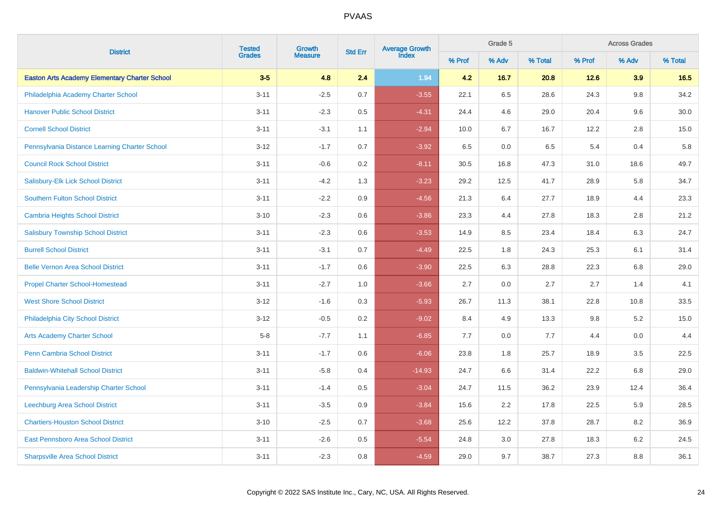| <b>District</b>                                      | <b>Tested</b> | Growth         | <b>Std Err</b> | <b>Average Growth</b><br>Index |        | Grade 5 |         | <b>Across Grades</b> |         |         |  |
|------------------------------------------------------|---------------|----------------|----------------|--------------------------------|--------|---------|---------|----------------------|---------|---------|--|
|                                                      | <b>Grades</b> | <b>Measure</b> |                |                                | % Prof | % Adv   | % Total | % Prof               | % Adv   | % Total |  |
| <b>Easton Arts Academy Elementary Charter School</b> | $3-5$         | 4.8            | 2.4            | 1.94                           | 4.2    | 16.7    | 20.8    | 12.6                 | 3.9     | 16.5    |  |
| Philadelphia Academy Charter School                  | $3 - 11$      | $-2.5$         | 0.7            | $-3.55$                        | 22.1   | 6.5     | 28.6    | 24.3                 | $9.8\,$ | 34.2    |  |
| <b>Hanover Public School District</b>                | $3 - 11$      | $-2.3$         | 0.5            | $-4.31$                        | 24.4   | 4.6     | 29.0    | 20.4                 | 9.6     | 30.0    |  |
| <b>Cornell School District</b>                       | $3 - 11$      | $-3.1$         | 1.1            | $-2.94$                        | 10.0   | 6.7     | 16.7    | 12.2                 | 2.8     | 15.0    |  |
| Pennsylvania Distance Learning Charter School        | $3 - 12$      | $-1.7$         | 0.7            | $-3.92$                        | 6.5    | 0.0     | 6.5     | 5.4                  | 0.4     | 5.8     |  |
| <b>Council Rock School District</b>                  | $3 - 11$      | $-0.6$         | $0.2\,$        | $-8.11$                        | 30.5   | 16.8    | 47.3    | 31.0                 | 18.6    | 49.7    |  |
| Salisbury-Elk Lick School District                   | $3 - 11$      | $-4.2$         | 1.3            | $-3.23$                        | 29.2   | 12.5    | 41.7    | 28.9                 | 5.8     | 34.7    |  |
| <b>Southern Fulton School District</b>               | $3 - 11$      | $-2.2$         | 0.9            | $-4.56$                        | 21.3   | 6.4     | 27.7    | 18.9                 | 4.4     | 23.3    |  |
| <b>Cambria Heights School District</b>               | $3 - 10$      | $-2.3$         | 0.6            | $-3.86$                        | 23.3   | 4.4     | 27.8    | 18.3                 | 2.8     | 21.2    |  |
| <b>Salisbury Township School District</b>            | $3 - 11$      | $-2.3$         | 0.6            | $-3.53$                        | 14.9   | 8.5     | 23.4    | 18.4                 | 6.3     | 24.7    |  |
| <b>Burrell School District</b>                       | $3 - 11$      | $-3.1$         | 0.7            | $-4.49$                        | 22.5   | 1.8     | 24.3    | 25.3                 | 6.1     | 31.4    |  |
| <b>Belle Vernon Area School District</b>             | $3 - 11$      | $-1.7$         | 0.6            | $-3.90$                        | 22.5   | 6.3     | 28.8    | 22.3                 | 6.8     | 29.0    |  |
| <b>Propel Charter School-Homestead</b>               | $3 - 11$      | $-2.7$         | 1.0            | $-3.66$                        | 2.7    | 0.0     | 2.7     | 2.7                  | 1.4     | 4.1     |  |
| <b>West Shore School District</b>                    | $3 - 12$      | $-1.6$         | 0.3            | $-5.93$                        | 26.7   | 11.3    | 38.1    | 22.8                 | 10.8    | 33.5    |  |
| Philadelphia City School District                    | $3 - 12$      | $-0.5$         | 0.2            | $-9.02$                        | 8.4    | 4.9     | 13.3    | 9.8                  | 5.2     | 15.0    |  |
| <b>Arts Academy Charter School</b>                   | $5-8$         | $-7.7$         | 1.1            | $-6.85$                        | 7.7    | 0.0     | 7.7     | 4.4                  | 0.0     | 4.4     |  |
| <b>Penn Cambria School District</b>                  | $3 - 11$      | $-1.7$         | 0.6            | $-6.06$                        | 23.8   | 1.8     | 25.7    | 18.9                 | 3.5     | 22.5    |  |
| <b>Baldwin-Whitehall School District</b>             | $3 - 11$      | $-5.8$         | 0.4            | $-14.93$                       | 24.7   | 6.6     | 31.4    | 22.2                 | 6.8     | 29.0    |  |
| Pennsylvania Leadership Charter School               | $3 - 11$      | $-1.4$         | 0.5            | $-3.04$                        | 24.7   | 11.5    | 36.2    | 23.9                 | 12.4    | 36.4    |  |
| Leechburg Area School District                       | $3 - 11$      | $-3.5$         | 0.9            | $-3.84$                        | 15.6   | 2.2     | 17.8    | 22.5                 | 5.9     | 28.5    |  |
| <b>Chartiers-Houston School District</b>             | $3 - 10$      | $-2.5$         | 0.7            | $-3.68$                        | 25.6   | 12.2    | 37.8    | 28.7                 | 8.2     | 36.9    |  |
| <b>East Pennsboro Area School District</b>           | $3 - 11$      | $-2.6$         | 0.5            | $-5.54$                        | 24.8   | 3.0     | 27.8    | 18.3                 | 6.2     | 24.5    |  |
| <b>Sharpsville Area School District</b>              | $3 - 11$      | $-2.3$         | 0.8            | $-4.59$                        | 29.0   | 9.7     | 38.7    | 27.3                 | 8.8     | 36.1    |  |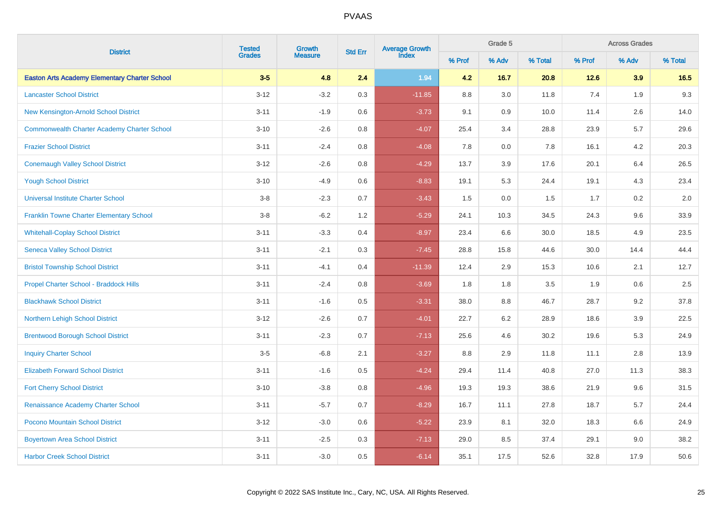| <b>District</b>                                      | <b>Tested</b><br>Growth | <b>Average Growth</b><br>Index<br><b>Std Err</b> |         | Grade 5  |        | <b>Across Grades</b> |         |        |       |         |
|------------------------------------------------------|-------------------------|--------------------------------------------------|---------|----------|--------|----------------------|---------|--------|-------|---------|
|                                                      | <b>Grades</b>           | <b>Measure</b>                                   |         |          | % Prof | % Adv                | % Total | % Prof | % Adv | % Total |
| <b>Easton Arts Academy Elementary Charter School</b> | $3-5$                   | 4.8                                              | 2.4     | 1.94     | 4.2    | 16.7                 | 20.8    | 12.6   | 3.9   | 16.5    |
| <b>Lancaster School District</b>                     | $3 - 12$                | $-3.2$                                           | 0.3     | $-11.85$ | 8.8    | 3.0                  | 11.8    | 7.4    | 1.9   | $9.3\,$ |
| New Kensington-Arnold School District                | $3 - 11$                | $-1.9$                                           | 0.6     | $-3.73$  | 9.1    | 0.9                  | 10.0    | 11.4   | 2.6   | 14.0    |
| <b>Commonwealth Charter Academy Charter School</b>   | $3 - 10$                | $-2.6$                                           | $0.8\,$ | $-4.07$  | 25.4   | 3.4                  | 28.8    | 23.9   | 5.7   | 29.6    |
| <b>Frazier School District</b>                       | $3 - 11$                | $-2.4$                                           | 0.8     | $-4.08$  | 7.8    | 0.0                  | 7.8     | 16.1   | 4.2   | 20.3    |
| <b>Conemaugh Valley School District</b>              | $3 - 12$                | $-2.6$                                           | $0.8\,$ | $-4.29$  | 13.7   | 3.9                  | 17.6    | 20.1   | 6.4   | 26.5    |
| <b>Yough School District</b>                         | $3 - 10$                | $-4.9$                                           | $0.6\,$ | $-8.83$  | 19.1   | 5.3                  | 24.4    | 19.1   | 4.3   | 23.4    |
| <b>Universal Institute Charter School</b>            | $3-8$                   | $-2.3$                                           | 0.7     | $-3.43$  | 1.5    | 0.0                  | 1.5     | 1.7    | 0.2   | 2.0     |
| <b>Franklin Towne Charter Elementary School</b>      | $3-8$                   | $-6.2$                                           | 1.2     | $-5.29$  | 24.1   | 10.3                 | 34.5    | 24.3   | 9.6   | 33.9    |
| <b>Whitehall-Coplay School District</b>              | $3 - 11$                | $-3.3$                                           | 0.4     | $-8.97$  | 23.4   | 6.6                  | 30.0    | 18.5   | 4.9   | 23.5    |
| <b>Seneca Valley School District</b>                 | $3 - 11$                | $-2.1$                                           | $0.3\,$ | $-7.45$  | 28.8   | 15.8                 | 44.6    | 30.0   | 14.4  | 44.4    |
| <b>Bristol Township School District</b>              | $3 - 11$                | $-4.1$                                           | 0.4     | $-11.39$ | 12.4   | 2.9                  | 15.3    | 10.6   | 2.1   | 12.7    |
| <b>Propel Charter School - Braddock Hills</b>        | $3 - 11$                | $-2.4$                                           | 0.8     | $-3.69$  | 1.8    | 1.8                  | 3.5     | 1.9    | 0.6   | $2.5\,$ |
| <b>Blackhawk School District</b>                     | $3 - 11$                | $-1.6$                                           | 0.5     | $-3.31$  | 38.0   | 8.8                  | 46.7    | 28.7   | 9.2   | 37.8    |
| Northern Lehigh School District                      | $3 - 12$                | $-2.6$                                           | 0.7     | $-4.01$  | 22.7   | 6.2                  | 28.9    | 18.6   | 3.9   | 22.5    |
| <b>Brentwood Borough School District</b>             | $3 - 11$                | $-2.3$                                           | 0.7     | $-7.13$  | 25.6   | 4.6                  | 30.2    | 19.6   | 5.3   | 24.9    |
| <b>Inquiry Charter School</b>                        | $3-5$                   | $-6.8$                                           | 2.1     | $-3.27$  | 8.8    | 2.9                  | 11.8    | 11.1   | 2.8   | 13.9    |
| <b>Elizabeth Forward School District</b>             | $3 - 11$                | $-1.6$                                           | 0.5     | $-4.24$  | 29.4   | 11.4                 | 40.8    | 27.0   | 11.3  | 38.3    |
| <b>Fort Cherry School District</b>                   | $3 - 10$                | $-3.8$                                           | 0.8     | $-4.96$  | 19.3   | 19.3                 | 38.6    | 21.9   | 9.6   | 31.5    |
| Renaissance Academy Charter School                   | $3 - 11$                | $-5.7$                                           | 0.7     | $-8.29$  | 16.7   | 11.1                 | 27.8    | 18.7   | 5.7   | 24.4    |
| Pocono Mountain School District                      | $3 - 12$                | $-3.0$                                           | 0.6     | $-5.22$  | 23.9   | 8.1                  | 32.0    | 18.3   | 6.6   | 24.9    |
| <b>Boyertown Area School District</b>                | $3 - 11$                | $-2.5$                                           | $0.3\,$ | $-7.13$  | 29.0   | 8.5                  | 37.4    | 29.1   | 9.0   | 38.2    |
| <b>Harbor Creek School District</b>                  | $3 - 11$                | $-3.0$                                           | 0.5     | $-6.14$  | 35.1   | 17.5                 | 52.6    | 32.8   | 17.9  | 50.6    |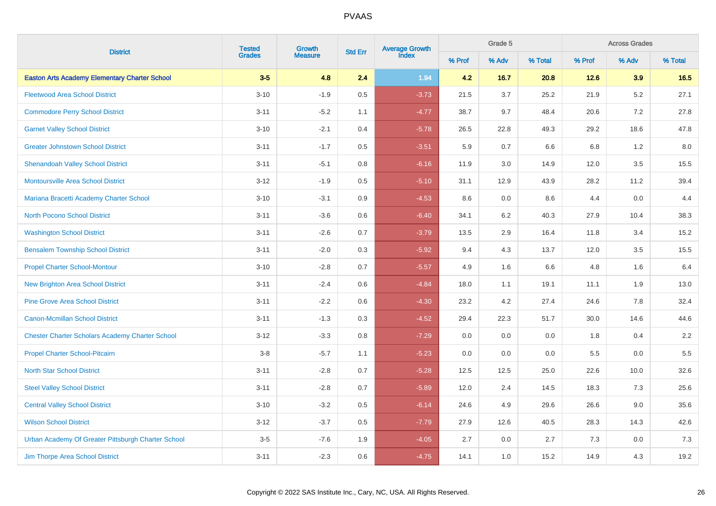| <b>District</b>                                        |               | <b>Tested</b><br>Growth | <b>Std Err</b> | Average Growth<br>Index |        | Grade 5 |         | <b>Across Grades</b> |         |         |  |
|--------------------------------------------------------|---------------|-------------------------|----------------|-------------------------|--------|---------|---------|----------------------|---------|---------|--|
|                                                        | <b>Grades</b> | <b>Measure</b>          |                |                         | % Prof | % Adv   | % Total | % Prof               | % Adv   | % Total |  |
| <b>Easton Arts Academy Elementary Charter School</b>   | $3-5$         | 4.8                     | 2.4            | 1.94                    | 4.2    | 16.7    | 20.8    | 12.6                 | 3.9     | 16.5    |  |
| <b>Fleetwood Area School District</b>                  | $3 - 10$      | $-1.9$                  | 0.5            | $-3.73$                 | 21.5   | 3.7     | 25.2    | 21.9                 | $5.2\,$ | 27.1    |  |
| <b>Commodore Perry School District</b>                 | $3 - 11$      | $-5.2$                  | 1.1            | $-4.77$                 | 38.7   | 9.7     | 48.4    | 20.6                 | 7.2     | 27.8    |  |
| <b>Garnet Valley School District</b>                   | $3 - 10$      | $-2.1$                  | 0.4            | $-5.78$                 | 26.5   | 22.8    | 49.3    | 29.2                 | 18.6    | 47.8    |  |
| <b>Greater Johnstown School District</b>               | $3 - 11$      | $-1.7$                  | 0.5            | $-3.51$                 | 5.9    | 0.7     | 6.6     | 6.8                  | 1.2     | 8.0     |  |
| <b>Shenandoah Valley School District</b>               | $3 - 11$      | $-5.1$                  | 0.8            | $-6.16$                 | 11.9   | 3.0     | 14.9    | 12.0                 | 3.5     | 15.5    |  |
| <b>Montoursville Area School District</b>              | $3 - 12$      | $-1.9$                  | $0.5\,$        | $-5.10$                 | 31.1   | 12.9    | 43.9    | 28.2                 | 11.2    | 39.4    |  |
| Mariana Bracetti Academy Charter School                | $3 - 10$      | $-3.1$                  | 0.9            | $-4.53$                 | 8.6    | 0.0     | 8.6     | 4.4                  | 0.0     | 4.4     |  |
| <b>North Pocono School District</b>                    | $3 - 11$      | $-3.6$                  | 0.6            | $-6.40$                 | 34.1   | 6.2     | 40.3    | 27.9                 | 10.4    | 38.3    |  |
| <b>Washington School District</b>                      | $3 - 11$      | $-2.6$                  | 0.7            | $-3.79$                 | 13.5   | 2.9     | 16.4    | 11.8                 | 3.4     | 15.2    |  |
| <b>Bensalem Township School District</b>               | $3 - 11$      | $-2.0$                  | $0.3\,$        | $-5.92$                 | 9.4    | 4.3     | 13.7    | 12.0                 | 3.5     | 15.5    |  |
| <b>Propel Charter School-Montour</b>                   | $3 - 10$      | $-2.8$                  | 0.7            | $-5.57$                 | 4.9    | 1.6     | 6.6     | 4.8                  | 1.6     | 6.4     |  |
| <b>New Brighton Area School District</b>               | $3 - 11$      | $-2.4$                  | 0.6            | $-4.84$                 | 18.0   | 1.1     | 19.1    | 11.1                 | 1.9     | 13.0    |  |
| <b>Pine Grove Area School District</b>                 | $3 - 11$      | $-2.2$                  | 0.6            | $-4.30$                 | 23.2   | 4.2     | 27.4    | 24.6                 | 7.8     | 32.4    |  |
| <b>Canon-Mcmillan School District</b>                  | $3 - 11$      | $-1.3$                  | 0.3            | $-4.52$                 | 29.4   | 22.3    | 51.7    | 30.0                 | 14.6    | 44.6    |  |
| <b>Chester Charter Scholars Academy Charter School</b> | $3 - 12$      | $-3.3$                  | 0.8            | $-7.29$                 | 0.0    | 0.0     | 0.0     | 1.8                  | 0.4     | 2.2     |  |
| <b>Propel Charter School-Pitcairn</b>                  | $3-8$         | $-5.7$                  | 1.1            | $-5.23$                 | 0.0    | 0.0     | 0.0     | 5.5                  | 0.0     | 5.5     |  |
| <b>North Star School District</b>                      | $3 - 11$      | $-2.8$                  | 0.7            | $-5.28$                 | 12.5   | 12.5    | 25.0    | 22.6                 | 10.0    | 32.6    |  |
| <b>Steel Valley School District</b>                    | $3 - 11$      | $-2.8$                  | 0.7            | $-5.89$                 | 12.0   | 2.4     | 14.5    | 18.3                 | 7.3     | 25.6    |  |
| <b>Central Valley School District</b>                  | $3 - 10$      | $-3.2$                  | 0.5            | $-6.14$                 | 24.6   | 4.9     | 29.6    | 26.6                 | 9.0     | 35.6    |  |
| <b>Wilson School District</b>                          | $3 - 12$      | $-3.7$                  | 0.5            | $-7.79$                 | 27.9   | 12.6    | 40.5    | 28.3                 | 14.3    | 42.6    |  |
| Urban Academy Of Greater Pittsburgh Charter School     | $3-5$         | $-7.6$                  | 1.9            | $-4.05$                 | 2.7    | 0.0     | 2.7     | 7.3                  | 0.0     | $7.3$   |  |
| Jim Thorpe Area School District                        | $3 - 11$      | $-2.3$                  | 0.6            | $-4.75$                 | 14.1   | 1.0     | 15.2    | 14.9                 | 4.3     | 19.2    |  |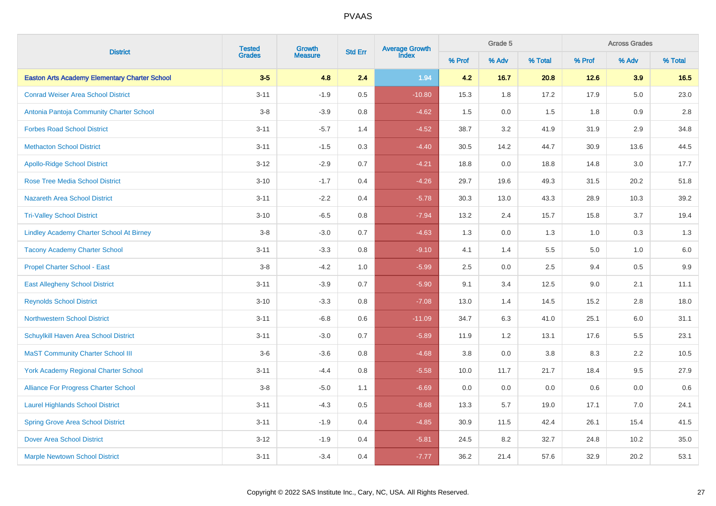| <b>District</b>                                      |               | <b>Tested</b><br>Growth | Average Growth<br>Index<br><b>Std Err</b> |          |        | Grade 5 |         | <b>Across Grades</b> |       |         |  |
|------------------------------------------------------|---------------|-------------------------|-------------------------------------------|----------|--------|---------|---------|----------------------|-------|---------|--|
|                                                      | <b>Grades</b> | <b>Measure</b>          |                                           |          | % Prof | % Adv   | % Total | % Prof               | % Adv | % Total |  |
| <b>Easton Arts Academy Elementary Charter School</b> | $3-5$         | 4.8                     | 2.4                                       | 1.94     | 4.2    | 16.7    | 20.8    | 12.6                 | 3.9   | 16.5    |  |
| <b>Conrad Weiser Area School District</b>            | $3 - 11$      | $-1.9$                  | $0.5\,$                                   | $-10.80$ | 15.3   | 1.8     | 17.2    | 17.9                 | 5.0   | 23.0    |  |
| Antonia Pantoja Community Charter School             | $3-8$         | $-3.9$                  | 0.8                                       | $-4.62$  | 1.5    | 0.0     | 1.5     | 1.8                  | 0.9   | 2.8     |  |
| <b>Forbes Road School District</b>                   | $3 - 11$      | $-5.7$                  | 1.4                                       | $-4.52$  | 38.7   | 3.2     | 41.9    | 31.9                 | 2.9   | 34.8    |  |
| <b>Methacton School District</b>                     | $3 - 11$      | $-1.5$                  | 0.3                                       | $-4.40$  | 30.5   | 14.2    | 44.7    | 30.9                 | 13.6  | 44.5    |  |
| <b>Apollo-Ridge School District</b>                  | $3 - 12$      | $-2.9$                  | 0.7                                       | $-4.21$  | 18.8   | 0.0     | 18.8    | 14.8                 | 3.0   | 17.7    |  |
| <b>Rose Tree Media School District</b>               | $3 - 10$      | $-1.7$                  | 0.4                                       | $-4.26$  | 29.7   | 19.6    | 49.3    | 31.5                 | 20.2  | 51.8    |  |
| <b>Nazareth Area School District</b>                 | $3 - 11$      | $-2.2$                  | 0.4                                       | $-5.78$  | 30.3   | 13.0    | 43.3    | 28.9                 | 10.3  | 39.2    |  |
| <b>Tri-Valley School District</b>                    | $3 - 10$      | $-6.5$                  | 0.8                                       | $-7.94$  | 13.2   | 2.4     | 15.7    | 15.8                 | 3.7   | 19.4    |  |
| <b>Lindley Academy Charter School At Birney</b>      | $3 - 8$       | $-3.0$                  | 0.7                                       | $-4.63$  | 1.3    | 0.0     | 1.3     | 1.0                  | 0.3   | $1.3$   |  |
| <b>Tacony Academy Charter School</b>                 | $3 - 11$      | $-3.3$                  | 0.8                                       | $-9.10$  | 4.1    | 1.4     | 5.5     | 5.0                  | 1.0   | $6.0\,$ |  |
| Propel Charter School - East                         | $3-8$         | $-4.2$                  | 1.0                                       | $-5.99$  | 2.5    | 0.0     | 2.5     | 9.4                  | 0.5   | $9.9\,$ |  |
| <b>East Allegheny School District</b>                | $3 - 11$      | $-3.9$                  | 0.7                                       | $-5.90$  | 9.1    | 3.4     | 12.5    | 9.0                  | 2.1   | 11.1    |  |
| <b>Reynolds School District</b>                      | $3 - 10$      | $-3.3$                  | 0.8                                       | $-7.08$  | 13.0   | 1.4     | 14.5    | 15.2                 | 2.8   | 18.0    |  |
| <b>Northwestern School District</b>                  | $3 - 11$      | $-6.8$                  | 0.6                                       | $-11.09$ | 34.7   | 6.3     | 41.0    | 25.1                 | 6.0   | 31.1    |  |
| Schuylkill Haven Area School District                | $3 - 11$      | $-3.0$                  | 0.7                                       | $-5.89$  | 11.9   | 1.2     | 13.1    | 17.6                 | 5.5   | 23.1    |  |
| <b>MaST Community Charter School III</b>             | $3-6$         | $-3.6$                  | 0.8                                       | $-4.68$  | 3.8    | 0.0     | 3.8     | 8.3                  | 2.2   | 10.5    |  |
| <b>York Academy Regional Charter School</b>          | $3 - 11$      | $-4.4$                  | 0.8                                       | $-5.58$  | 10.0   | 11.7    | 21.7    | 18.4                 | 9.5   | 27.9    |  |
| <b>Alliance For Progress Charter School</b>          | $3 - 8$       | $-5.0$                  | 1.1                                       | $-6.69$  | 0.0    | 0.0     | 0.0     | 0.6                  | 0.0   | 0.6     |  |
| <b>Laurel Highlands School District</b>              | $3 - 11$      | $-4.3$                  | 0.5                                       | $-8.68$  | 13.3   | 5.7     | 19.0    | 17.1                 | 7.0   | 24.1    |  |
| <b>Spring Grove Area School District</b>             | $3 - 11$      | $-1.9$                  | 0.4                                       | $-4.85$  | 30.9   | 11.5    | 42.4    | 26.1                 | 15.4  | 41.5    |  |
| <b>Dover Area School District</b>                    | $3 - 12$      | $-1.9$                  | 0.4                                       | $-5.81$  | 24.5   | 8.2     | 32.7    | 24.8                 | 10.2  | 35.0    |  |
| <b>Marple Newtown School District</b>                | $3 - 11$      | $-3.4$                  | 0.4                                       | $-7.77$  | 36.2   | 21.4    | 57.6    | 32.9                 | 20.2  | 53.1    |  |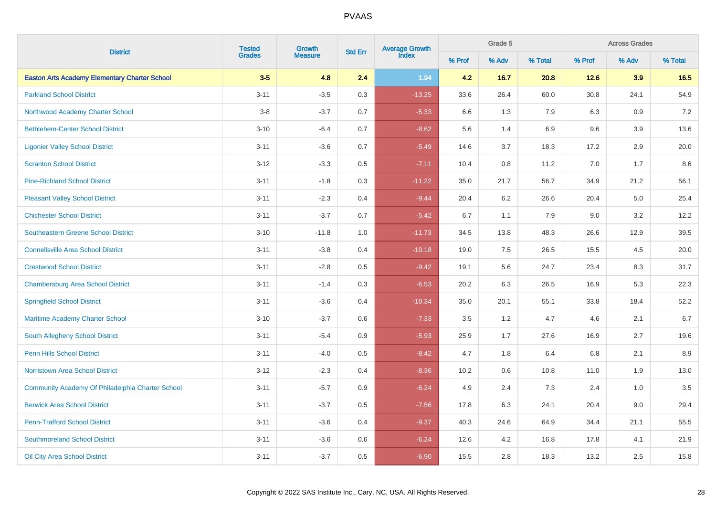| <b>District</b>                                      |               | <b>Tested</b><br>Growth | <b>Std Err</b> | <b>Average Growth</b><br>Index |        | Grade 5 |         | <b>Across Grades</b> |       |         |  |
|------------------------------------------------------|---------------|-------------------------|----------------|--------------------------------|--------|---------|---------|----------------------|-------|---------|--|
|                                                      | <b>Grades</b> | <b>Measure</b>          |                |                                | % Prof | % Adv   | % Total | % Prof               | % Adv | % Total |  |
| <b>Easton Arts Academy Elementary Charter School</b> | $3-5$         | 4.8                     | 2.4            | 1.94                           | 4.2    | 16.7    | 20.8    | 12.6                 | 3.9   | 16.5    |  |
| <b>Parkland School District</b>                      | $3 - 11$      | $-3.5$                  | 0.3            | $-13.25$                       | 33.6   | 26.4    | 60.0    | 30.8                 | 24.1  | 54.9    |  |
| Northwood Academy Charter School                     | $3 - 8$       | $-3.7$                  | 0.7            | $-5.33$                        | 6.6    | 1.3     | 7.9     | 6.3                  | 0.9   | 7.2     |  |
| <b>Bethlehem-Center School District</b>              | $3 - 10$      | $-6.4$                  | 0.7            | $-8.62$                        | 5.6    | 1.4     | 6.9     | 9.6                  | 3.9   | 13.6    |  |
| <b>Ligonier Valley School District</b>               | $3 - 11$      | $-3.6$                  | 0.7            | $-5.49$                        | 14.6   | 3.7     | 18.3    | 17.2                 | 2.9   | 20.0    |  |
| <b>Scranton School District</b>                      | $3 - 12$      | $-3.3$                  | 0.5            | $-7.11$                        | 10.4   | 0.8     | 11.2    | 7.0                  | 1.7   | $8.6\,$ |  |
| <b>Pine-Richland School District</b>                 | $3 - 11$      | $-1.8$                  | 0.3            | $-11.22$                       | 35.0   | 21.7    | 56.7    | 34.9                 | 21.2  | 56.1    |  |
| <b>Pleasant Valley School District</b>               | $3 - 11$      | $-2.3$                  | 0.4            | $-9.44$                        | 20.4   | 6.2     | 26.6    | 20.4                 | 5.0   | 25.4    |  |
| <b>Chichester School District</b>                    | $3 - 11$      | $-3.7$                  | 0.7            | $-5.42$                        | 6.7    | 1.1     | 7.9     | 9.0                  | 3.2   | 12.2    |  |
| <b>Southeastern Greene School District</b>           | $3 - 10$      | $-11.8$                 | 1.0            | $-11.73$                       | 34.5   | 13.8    | 48.3    | 26.6                 | 12.9  | 39.5    |  |
| <b>Connellsville Area School District</b>            | $3 - 11$      | $-3.8$                  | 0.4            | $-10.18$                       | 19.0   | 7.5     | 26.5    | 15.5                 | 4.5   | 20.0    |  |
| <b>Crestwood School District</b>                     | $3 - 11$      | $-2.8$                  | 0.5            | $-9.42$                        | 19.1   | 5.6     | 24.7    | 23.4                 | 8.3   | 31.7    |  |
| <b>Chambersburg Area School District</b>             | $3 - 11$      | $-1.4$                  | 0.3            | $-6.53$                        | 20.2   | 6.3     | 26.5    | 16.9                 | 5.3   | 22.3    |  |
| <b>Springfield School District</b>                   | $3 - 11$      | $-3.6$                  | 0.4            | $-10.34$                       | 35.0   | 20.1    | 55.1    | 33.8                 | 18.4  | 52.2    |  |
| <b>Maritime Academy Charter School</b>               | $3 - 10$      | $-3.7$                  | 0.6            | $-7.33$                        | 3.5    | 1.2     | 4.7     | 4.6                  | 2.1   | 6.7     |  |
| <b>South Allegheny School District</b>               | $3 - 11$      | $-5.4$                  | 0.9            | $-5.93$                        | 25.9   | 1.7     | 27.6    | 16.9                 | 2.7   | 19.6    |  |
| <b>Penn Hills School District</b>                    | $3 - 11$      | $-4.0$                  | 0.5            | $-8.42$                        | 4.7    | 1.8     | 6.4     | 6.8                  | 2.1   | 8.9     |  |
| <b>Norristown Area School District</b>               | $3 - 12$      | $-2.3$                  | 0.4            | $-8.36$                        | 10.2   | 0.6     | 10.8    | 11.0                 | 1.9   | 13.0    |  |
| Community Academy Of Philadelphia Charter School     | $3 - 11$      | $-5.7$                  | 0.9            | $-6.24$                        | 4.9    | 2.4     | 7.3     | 2.4                  | 1.0   | 3.5     |  |
| <b>Berwick Area School District</b>                  | $3 - 11$      | $-3.7$                  | 0.5            | $-7.56$                        | 17.8   | 6.3     | 24.1    | 20.4                 | 9.0   | 29.4    |  |
| <b>Penn-Trafford School District</b>                 | $3 - 11$      | $-3.6$                  | 0.4            | $-9.37$                        | 40.3   | 24.6    | 64.9    | 34.4                 | 21.1  | 55.5    |  |
| <b>Southmoreland School District</b>                 | $3 - 11$      | $-3.6$                  | 0.6            | $-6.24$                        | 12.6   | 4.2     | 16.8    | 17.8                 | 4.1   | 21.9    |  |
| <b>Oil City Area School District</b>                 | $3 - 11$      | $-3.7$                  | 0.5            | $-6.90$                        | 15.5   | 2.8     | 18.3    | 13.2                 | 2.5   | 15.8    |  |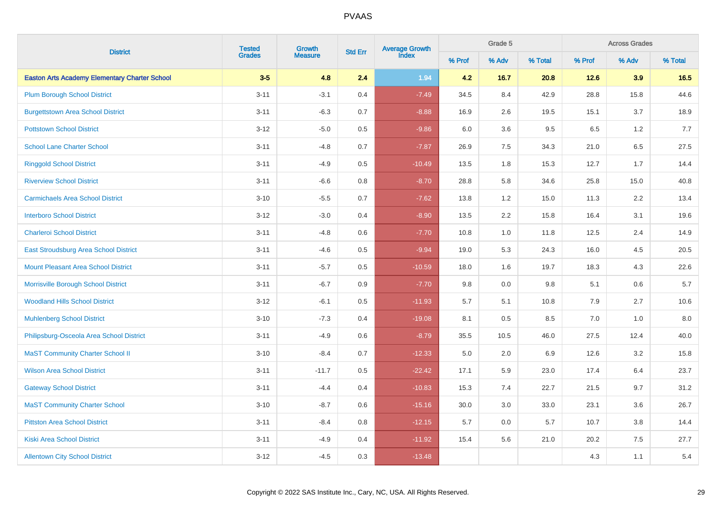|                                                      |               | <b>Tested</b><br>Growth | Average Growth<br>Index<br><b>Std Err</b> |          |        | Grade 5 |         | <b>Across Grades</b> |         |         |  |
|------------------------------------------------------|---------------|-------------------------|-------------------------------------------|----------|--------|---------|---------|----------------------|---------|---------|--|
| <b>District</b>                                      | <b>Grades</b> | <b>Measure</b>          |                                           |          | % Prof | % Adv   | % Total | % Prof               | % Adv   | % Total |  |
| <b>Easton Arts Academy Elementary Charter School</b> | $3-5$         | 4.8                     | 2.4                                       | 1.94     | 4.2    | 16.7    | 20.8    | 12.6                 | 3.9     | 16.5    |  |
| <b>Plum Borough School District</b>                  | $3 - 11$      | $-3.1$                  | 0.4                                       | $-7.49$  | 34.5   | 8.4     | 42.9    | 28.8                 | 15.8    | 44.6    |  |
| <b>Burgettstown Area School District</b>             | $3 - 11$      | $-6.3$                  | 0.7                                       | $-8.88$  | 16.9   | 2.6     | 19.5    | 15.1                 | 3.7     | 18.9    |  |
| <b>Pottstown School District</b>                     | $3 - 12$      | $-5.0$                  | $0.5\,$                                   | $-9.86$  | 6.0    | $3.6\,$ | 9.5     | 6.5                  | $1.2\,$ | $7.7\,$ |  |
| <b>School Lane Charter School</b>                    | $3 - 11$      | $-4.8$                  | 0.7                                       | $-7.87$  | 26.9   | 7.5     | 34.3    | 21.0                 | $6.5\,$ | 27.5    |  |
| <b>Ringgold School District</b>                      | $3 - 11$      | $-4.9$                  | 0.5                                       | $-10.49$ | 13.5   | 1.8     | 15.3    | 12.7                 | 1.7     | 14.4    |  |
| <b>Riverview School District</b>                     | $3 - 11$      | $-6.6$                  | 0.8                                       | $-8.70$  | 28.8   | 5.8     | 34.6    | 25.8                 | 15.0    | 40.8    |  |
| <b>Carmichaels Area School District</b>              | $3 - 10$      | $-5.5$                  | 0.7                                       | $-7.62$  | 13.8   | 1.2     | 15.0    | 11.3                 | 2.2     | 13.4    |  |
| <b>Interboro School District</b>                     | $3-12$        | $-3.0$                  | 0.4                                       | $-8.90$  | 13.5   | 2.2     | 15.8    | 16.4                 | 3.1     | 19.6    |  |
| <b>Charleroi School District</b>                     | $3 - 11$      | $-4.8$                  | 0.6                                       | $-7.70$  | 10.8   | 1.0     | 11.8    | 12.5                 | 2.4     | 14.9    |  |
| East Stroudsburg Area School District                | $3 - 11$      | $-4.6$                  | 0.5                                       | $-9.94$  | 19.0   | 5.3     | 24.3    | 16.0                 | 4.5     | 20.5    |  |
| <b>Mount Pleasant Area School District</b>           | $3 - 11$      | $-5.7$                  | 0.5                                       | $-10.59$ | 18.0   | 1.6     | 19.7    | 18.3                 | 4.3     | 22.6    |  |
| Morrisville Borough School District                  | $3 - 11$      | $-6.7$                  | 0.9                                       | $-7.70$  | 9.8    | 0.0     | 9.8     | 5.1                  | 0.6     | 5.7     |  |
| <b>Woodland Hills School District</b>                | $3 - 12$      | $-6.1$                  | 0.5                                       | $-11.93$ | 5.7    | 5.1     | 10.8    | 7.9                  | 2.7     | 10.6    |  |
| <b>Muhlenberg School District</b>                    | $3 - 10$      | $-7.3$                  | 0.4                                       | $-19.08$ | 8.1    | 0.5     | 8.5     | 7.0                  | 1.0     | 8.0     |  |
| Philipsburg-Osceola Area School District             | $3 - 11$      | $-4.9$                  | 0.6                                       | $-8.79$  | 35.5   | 10.5    | 46.0    | 27.5                 | 12.4    | 40.0    |  |
| <b>MaST Community Charter School II</b>              | $3 - 10$      | $-8.4$                  | 0.7                                       | $-12.33$ | 5.0    | 2.0     | 6.9     | 12.6                 | 3.2     | 15.8    |  |
| <b>Wilson Area School District</b>                   | $3 - 11$      | $-11.7$                 | 0.5                                       | $-22.42$ | 17.1   | 5.9     | 23.0    | 17.4                 | 6.4     | 23.7    |  |
| <b>Gateway School District</b>                       | $3 - 11$      | $-4.4$                  | 0.4                                       | $-10.83$ | 15.3   | 7.4     | 22.7    | 21.5                 | 9.7     | 31.2    |  |
| <b>MaST Community Charter School</b>                 | $3 - 10$      | $-8.7$                  | 0.6                                       | $-15.16$ | 30.0   | 3.0     | 33.0    | 23.1                 | 3.6     | 26.7    |  |
| <b>Pittston Area School District</b>                 | $3 - 11$      | $-8.4$                  | 0.8                                       | $-12.15$ | 5.7    | 0.0     | 5.7     | 10.7                 | 3.8     | 14.4    |  |
| <b>Kiski Area School District</b>                    | $3 - 11$      | $-4.9$                  | 0.4                                       | $-11.92$ | 15.4   | 5.6     | 21.0    | 20.2                 | 7.5     | 27.7    |  |
| <b>Allentown City School District</b>                | $3 - 12$      | $-4.5$                  | 0.3                                       | $-13.48$ |        |         |         | 4.3                  | 1.1     | 5.4     |  |